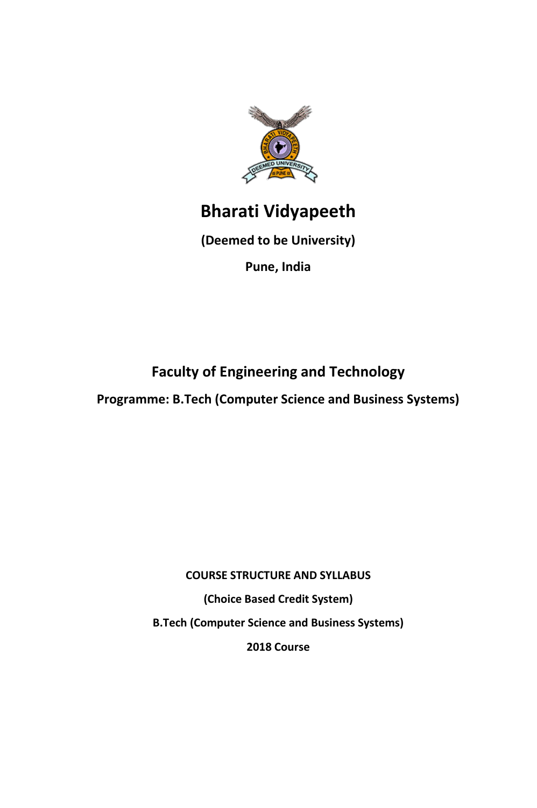

# **Bharati Vidyapeeth**

**(Deemed to be University)** 

**Pune, India** 

**Faculty of Engineering and Technology** 

**Programme: B.Tech (Computer Science and Business Systems)** 

**COURSE STRUCTURE AND SYLLABUS (Choice Based Credit System) B.Tech (Computer Science and Business Systems) 2018 Course**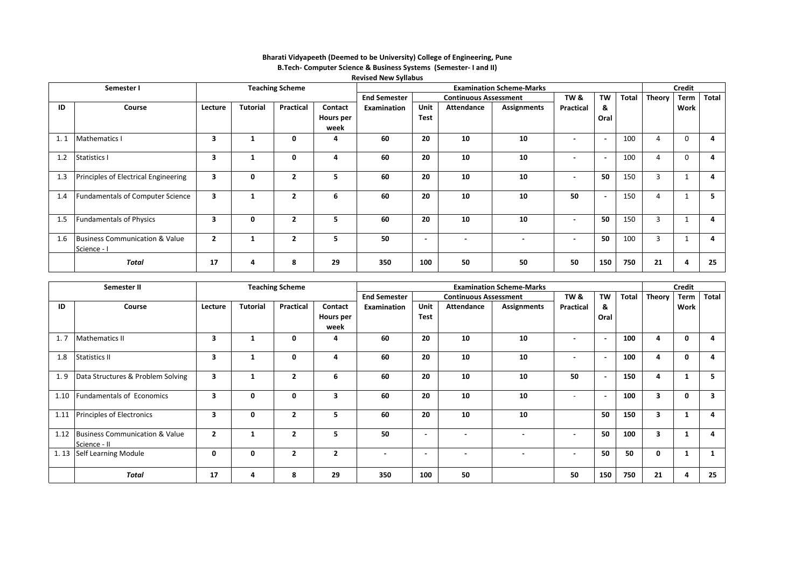|     |                                           |                |                                 |                |                  | <b>Revised New Syllabus</b> |                          |                              |                          |                          |                          |       |                |      |       |
|-----|-------------------------------------------|----------------|---------------------------------|----------------|------------------|-----------------------------|--------------------------|------------------------------|--------------------------|--------------------------|--------------------------|-------|----------------|------|-------|
|     | Semester I                                |                | <b>Examination Scheme-Marks</b> |                |                  |                             |                          |                              | <b>Credit</b>            |                          |                          |       |                |      |       |
|     |                                           |                |                                 |                |                  | <b>End Semester</b>         |                          | <b>Continuous Assessment</b> |                          | <b>TW &amp;</b>          | TW                       | Total | Theory         | Term | Total |
| ID  | Course                                    | Lecture        | <b>Tutorial</b>                 | Practical      | Contact          | Examination                 | Unit                     | Attendance                   | <b>Assignments</b>       | Practical                | &                        |       |                | Work |       |
|     |                                           |                |                                 |                | <b>Hours per</b> |                             | Test                     |                              |                          |                          | Oral                     |       |                |      |       |
|     |                                           |                |                                 |                | week             |                             |                          |                              |                          |                          |                          |       |                |      |       |
| 1.1 | <b>Mathematics I</b>                      | 3              | 1                               | 0              | 4                | 60                          | 20                       | 10                           | 10                       | $\overline{\phantom{0}}$ | $\overline{\phantom{a}}$ | 100   | 4              | 0    | 4     |
|     |                                           |                |                                 |                |                  |                             |                          |                              |                          |                          |                          |       |                |      |       |
| 1.2 | <b>Statistics I</b>                       | 3              | 1                               | 0              | 4                | 60                          | 20                       | 10                           | 10                       |                          | $\overline{\phantom{a}}$ | 100   | 4              | 0    | 4     |
|     |                                           |                |                                 |                |                  |                             |                          |                              |                          |                          |                          |       |                |      |       |
| 1.3 | Principles of Electrical Engineering      | 3              | 0                               | $\overline{2}$ | 5                | 60                          | 20                       | 10                           | 10                       | $\overline{\phantom{0}}$ | 50                       | 150   | 3              |      | 4     |
|     |                                           |                |                                 |                |                  |                             |                          |                              |                          |                          |                          |       |                |      |       |
| 1.4 | <b>Fundamentals of Computer Science</b>   | 3              | $\mathbf{1}$                    | $\overline{2}$ | 6                | 60                          | 20                       | 10                           | 10                       | 50                       | $\blacksquare$           | 150   | 4              |      | 5.    |
|     |                                           |                |                                 |                |                  |                             |                          |                              |                          |                          |                          |       |                |      |       |
| 1.5 | <b>Fundamentals of Physics</b>            | 3              | 0                               | $\overline{2}$ | 5                | 60                          | 20                       | 10                           | 10                       | $\blacksquare$           | 50                       | 150   | $\overline{3}$ |      | 4     |
|     |                                           |                |                                 |                |                  |                             |                          |                              |                          |                          |                          |       |                |      |       |
| 1.6 | <b>Business Communication &amp; Value</b> | $\overline{2}$ | $\mathbf{1}$                    | $\overline{2}$ | 5                | 50                          | $\overline{\phantom{0}}$ |                              | $\overline{\phantom{0}}$ | $\overline{\phantom{0}}$ | 50                       | 100   | 3              |      | 4     |
|     | Science - I                               |                |                                 |                |                  |                             |                          |                              |                          |                          |                          |       |                |      |       |
|     | <b>Total</b>                              | 17             | 4                               | 8              | 29               | 350                         | 100                      | 50                           | 50                       | 50                       | 150                      | 750   | 21             | 4    | 25    |
|     |                                           |                |                                 |                |                  |                             |                          |                              |                          |                          |                          |       |                |      |       |

### **Bharati Vidyapeeth (Deemed to be University) College of Engineering, Pune B.Tech- Computer Science & Business Systems (Semester- I and II)**

|      | Semester II                                         |                |                 | <b>Teaching Scheme</b> |              |                          | <b>Examination Scheme-Marks</b> |                              |                    |                          |                          |              | <b>Credit</b> |      |       |
|------|-----------------------------------------------------|----------------|-----------------|------------------------|--------------|--------------------------|---------------------------------|------------------------------|--------------------|--------------------------|--------------------------|--------------|---------------|------|-------|
|      |                                                     |                |                 |                        |              | <b>End Semester</b>      |                                 | <b>Continuous Assessment</b> |                    | TW &                     | TW                       | <b>Total</b> | Theory        | Term | Total |
| ID   | Course                                              | Lecture        | <b>Tutorial</b> | Practical              | Contact      | Examination              | Unit                            | Attendance                   | <b>Assignments</b> | Practical                | &                        |              |               | Work |       |
|      |                                                     |                |                 |                        | Hours per    |                          | <b>Test</b>                     |                              |                    |                          | Oral                     |              |               |      |       |
|      |                                                     |                |                 |                        | week         |                          |                                 |                              |                    |                          |                          |              |               |      |       |
| 1.7  | <b>Mathematics II</b>                               | 3              | 1               | 0                      | 4            | 60                       | 20                              | 10                           | 10                 |                          | $\blacksquare$           | 100          | Δ             | 0    | 4     |
| 1.8  | Statistics II                                       | 3              |                 | 0                      | Δ            | 60                       | 20                              | 10                           | 10                 | $\overline{\phantom{0}}$ | $\overline{\phantom{a}}$ | 100          |               | 0    | 4     |
| 1.9  | Data Structures & Problem Solving                   | 3              | -1              | $\overline{2}$         | 6            | 60                       | 20                              | 10                           | 10                 | 50                       | $\blacksquare$           | 150          | 4             |      | 5.    |
| 1.10 | <b>Fundamentals of Economics</b>                    | 3              | 0               | 0                      | 3            | 60                       | 20                              | 10                           | 10                 |                          | $\overline{\phantom{a}}$ | 100          | 3             | 0    | 3     |
|      | 1.11 Principles of Electronics                      | 3              | 0               | $\overline{2}$         | 5.           | 60                       | 20                              | 10                           | 10                 |                          | 50                       | 150          | 3             |      | 4     |
|      | 1.12 Business Communication & Value<br>Science - II | $\overline{2}$ |                 | $\overline{2}$         | 5            | 50                       |                                 |                              |                    | $\overline{\phantom{0}}$ | 50                       | 100          | 3             |      |       |
|      | 1.13 Self Learning Module                           | 0              | 0               | $\overline{2}$         | $\mathbf{2}$ | $\overline{\phantom{0}}$ | $\overline{\phantom{0}}$        | $\overline{\phantom{0}}$     | $\blacksquare$     | $\blacksquare$           | 50                       | 50           | 0             |      |       |
|      | <b>Total</b>                                        | 17             | 4               | 8                      | 29           | 350                      | 100                             | 50                           |                    | 50                       | 150                      | 750          | 21            | 4    | 25    |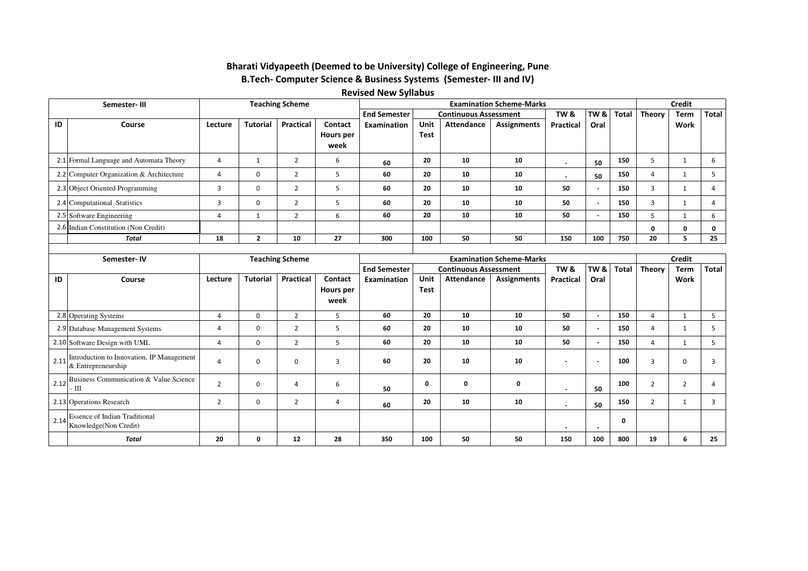## **B.Tech- Computer Science & Business Systems (Semester- III and IV) Bharati Vidyapeeth (Deemed to be University) College of Engineering, Pune**

### **Revised New Syllabus**

|    | <b>Teaching Scheme</b><br>Semester-III   |                |                 | <b>Examination Scheme-Marks</b> |                  |                     |             |                              |                    | <b>Credit</b>            |      |              |                  |              |       |
|----|------------------------------------------|----------------|-----------------|---------------------------------|------------------|---------------------|-------------|------------------------------|--------------------|--------------------------|------|--------------|------------------|--------------|-------|
|    |                                          |                |                 |                                 |                  | <b>End Semester</b> |             | <b>Continuous Assessment</b> |                    | TW <sub>&amp;</sub>      | TW & | <b>Total</b> | . $ $ Theory $ $ | Term         | Total |
| ID | Course                                   | Lecture        | <b>Tutorial</b> | Practical                       | Contact          | Examination         | Unit        | Attendance                   | <b>Assignments</b> | <b>Practical</b>         | Oral |              |                  | Work         |       |
|    |                                          |                |                 |                                 | <b>Hours per</b> |                     | <b>Test</b> |                              |                    |                          |      |              |                  |              |       |
|    |                                          |                |                 |                                 | week             |                     |             |                              |                    |                          |      |              |                  |              |       |
|    | 2.1 Formal Language and Automata Theory  | $\overline{4}$ |                 |                                 | b                | 60                  | 20          | 10                           | 10                 | $\overline{\phantom{a}}$ | 50   | 150          |                  |              | b     |
|    | 2.2 Computer Organization & Architecture |                | $\Omega$        |                                 |                  | 60                  | 20          | 10                           | 10                 | $\overline{\phantom{0}}$ | 50   | 150          |                  |              |       |
|    | 2.3 Object Oriented Programming          |                |                 | $\mathbf{\hat{}}$               |                  | 60                  | 20          | 10                           | 10                 | 50                       | . .  | 150          |                  |              |       |
|    | 2.4 Computational Statistics             |                | $\Omega$        |                                 |                  | 60                  | 20          | 10                           | 10                 | 50                       | . .  | 150          |                  |              | 4     |
|    | 2.5 Software Engineering                 | 4              |                 | $\mathbf{\Gamma}$               | b                | 60                  | 20          | 10                           | 10                 | 50                       |      | 150          |                  |              | 6     |
|    | 2.6 Indian Constitution (Non Credit)     |                |                 |                                 |                  |                     |             |                              |                    |                          |      |              | $\mathbf{o}$     | $\mathbf{0}$ | 0     |
|    | Total                                    | 18             |                 | 10                              | 27               | 300                 | 100         | 50                           | 50                 | 150                      | 100  | 750          | 20               |              | 25    |
|    |                                          |                |                 |                                 |                  |                     |             |                              |                    |                          |      |              |                  |              |       |

|      | Semester-IV                                                     | <b>Teaching Scheme</b> |                 |                  | <b>Examination Scheme-Marks</b> |                     |             |                              |                    |                          |                          | <b>Credit</b> |                |                |              |
|------|-----------------------------------------------------------------|------------------------|-----------------|------------------|---------------------------------|---------------------|-------------|------------------------------|--------------------|--------------------------|--------------------------|---------------|----------------|----------------|--------------|
|      |                                                                 |                        |                 |                  |                                 | <b>End Semester</b> |             | <b>Continuous Assessment</b> |                    | TW &                     | TW &                     | Total         | Theory         | <b>Term</b>    | <b>Total</b> |
| ID   | Course                                                          | Lecture                | <b>Tutorial</b> | <b>Practical</b> | Contact                         | Examination         | Unit        | Attendance                   | <b>Assignments</b> | <b>Practical</b>         | Oral                     |               |                | <b>Work</b>    |              |
|      |                                                                 |                        |                 |                  | Hours per                       |                     | <b>Test</b> |                              |                    |                          |                          |               |                |                |              |
|      |                                                                 |                        |                 |                  | week                            |                     |             |                              |                    |                          |                          |               |                |                |              |
|      | 2.8 Operating Systems                                           | 4                      | $\Omega$        | $\overline{2}$   | 5                               | 60                  | 20          | 10                           | 10                 | 50                       | $\overline{\phantom{a}}$ | 150           | 4              |                | 5            |
|      | 2.9 Database Management Systems                                 |                        | 0               | $\overline{2}$   |                                 | 60                  | 20          | 10                           | 10                 | 50                       | $\overline{\phantom{a}}$ | 150           | $\overline{4}$ |                |              |
|      | 2.10 Software Design with UML                                   | 4                      | $\Omega$        | $\overline{2}$   | ь                               | 60                  | 20          | 10                           | 10                 | 50                       | $\overline{\phantom{a}}$ | 150           | $\overline{a}$ |                | 5            |
| 2.11 | Introduction to Innovation, IP Management<br>& Entrepreneurship |                        | 0               | $\Omega$         |                                 | 60                  | 20          | 10                           | 10                 |                          | $\overline{\phantom{a}}$ | 100           | 3              | $\Omega$       |              |
|      | $\frac{1}{2.12}$ Business Communication & Value Science<br>۰Ш   |                        |                 | 4                | 6                               | 50                  | 0           | O                            | 0                  | $\overline{\phantom{a}}$ | 50                       | 100           | $\overline{2}$ | $\overline{2}$ |              |
|      | 2.13 Operations Research                                        |                        | $\Omega$        | 2                | 4                               | 60                  | 20          | 10                           | 10                 |                          | 50                       | 150           | $\overline{2}$ |                |              |
| 2.14 | <b>Essence of Indian Traditional</b><br>Knowledge(Non Credit)   |                        |                 |                  |                                 |                     |             |                              |                    | $\overline{\phantom{a}}$ | $\sim$                   |               |                |                |              |
|      | <b>Total</b>                                                    | 20                     | 0               | 12               | 28                              | 350                 | 100         | 50                           | 50                 | 150                      | 100                      | 800           | 19             | 6              | 25           |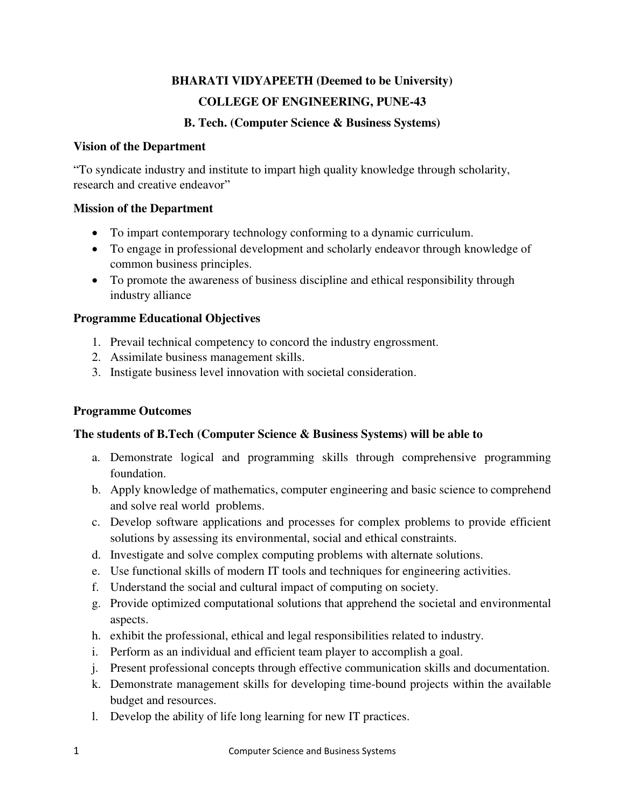## **BHARATI VIDYAPEETH (Deemed to be University) COLLEGE OF ENGINEERING, PUNE-43**

### **B. Tech. (Computer Science & Business Systems)**

### **Vision of the Department**

"To syndicate industry and institute to impart high quality knowledge through scholarity, research and creative endeavor"

### **Mission of the Department**

- To impart contemporary technology conforming to a dynamic curriculum.
- To engage in professional development and scholarly endeavor through knowledge of common business principles.
- To promote the awareness of business discipline and ethical responsibility through industry alliance

### **Programme Educational Objectives**

- 1. Prevail technical competency to concord the industry engrossment.
- 2. Assimilate business management skills.
- 3. Instigate business level innovation with societal consideration.

### **Programme Outcomes**

### **The students of B.Tech (Computer Science & Business Systems) will be able to**

- a. Demonstrate logical and programming skills through comprehensive programming foundation.
- b. Apply knowledge of mathematics, computer engineering and basic science to comprehend and solve real world problems.
- c. Develop software applications and processes for complex problems to provide efficient solutions by assessing its environmental, social and ethical constraints.
- d. Investigate and solve complex computing problems with alternate solutions.
- e. Use functional skills of modern IT tools and techniques for engineering activities.
- f. Understand the social and cultural impact of computing on society.
- g. Provide optimized computational solutions that apprehend the societal and environmental aspects.
- h. exhibit the professional, ethical and legal responsibilities related to industry.
- i. Perform as an individual and efficient team player to accomplish a goal.
- j. Present professional concepts through effective communication skills and documentation.
- k. Demonstrate management skills for developing time-bound projects within the available budget and resources.
- l. Develop the ability of life long learning for new IT practices.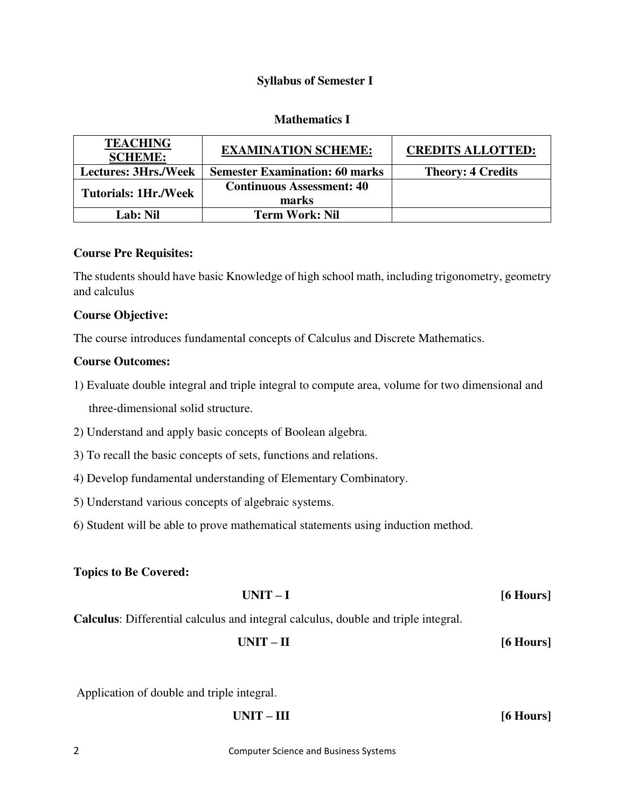### **Syllabus of Semester I**

### **Mathematics I**

| <b>TEACHING</b><br><b>SCHEME:</b> | <b>EXAMINATION SCHEME:</b>                | <b>CREDITS ALLOTTED:</b> |
|-----------------------------------|-------------------------------------------|--------------------------|
| <b>Lectures: 3Hrs./Week</b>       | <b>Semester Examination: 60 marks</b>     | <b>Theory: 4 Credits</b> |
| <b>Tutorials: 1Hr./Week</b>       | <b>Continuous Assessment: 40</b><br>marks |                          |
| Lab: Nil                          | <b>Term Work: Nil</b>                     |                          |

### **Course Pre Requisites:**

The students should have basic Knowledge of high school math, including trigonometry, geometry and calculus

### **Course Objective:**

The course introduces fundamental concepts of Calculus and Discrete Mathematics.

### **Course Outcomes:**

- 1) Evaluate double integral and triple integral to compute area, volume for two dimensional and three-dimensional solid structure.
- 2) Understand and apply basic concepts of Boolean algebra.
- 3) To recall the basic concepts of sets, functions and relations.
- 4) Develop fundamental understanding of Elementary Combinatory.
- 5) Understand various concepts of algebraic systems.
- 6) Student will be able to prove mathematical statements using induction method.

### **Topics to Be Covered:**

| $UNIT-I$ | [6 Hours] |
|----------|-----------|
|----------|-----------|

**Calculus**: Differential calculus and integral calculus, double and triple integral.

**UNIT – II [6 Hours]** 

Application of double and triple integral.

| UNIT – III | $[6$ Hours] |
|------------|-------------|
|------------|-------------|

2 Computer Science and Business Systems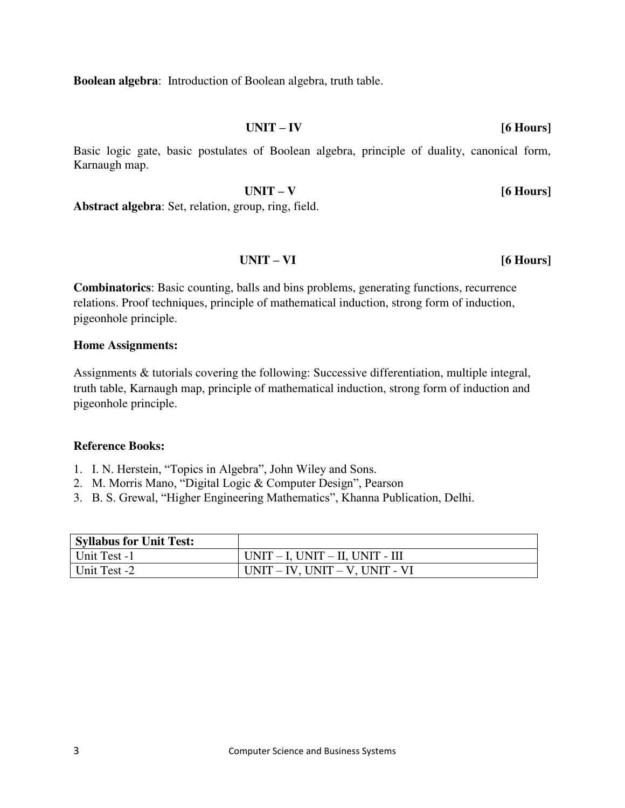**Boolean algebra**: Introduction of Boolean algebra, truth table.

**UNIT – IV [6 Hours]** 

Basic logic gate, basic postulates of Boolean algebra, principle of duality, canonical form, Karnaugh map.

**UNIT – V [6 Hours] Abstract algebra**: Set, relation, group, ring, field.

**UNIT – VI [6 Hours]**

**Combinatorics**: Basic counting, balls and bins problems, generating functions, recurrence relations. Proof techniques, principle of mathematical induction, strong form of induction, pigeonhole principle.

### **Home Assignments:**

Assignments & tutorials covering the following: Successive differentiation, multiple integral, truth table, Karnaugh map, principle of mathematical induction, strong form of induction and pigeonhole principle.

- 1. I. N. Herstein, "Topics in Algebra", John Wiley and Sons.
- 2. M. Morris Mano, "Digital Logic & Computer Design", Pearson
- 3. B. S. Grewal, "Higher Engineering Mathematics", Khanna Publication, Delhi.

| <b>Syllabus for Unit Test:</b> |                                         |
|--------------------------------|-----------------------------------------|
| Unit Test -1                   | $UNIT - I$ , $UNIT - II$ , $UNIT - III$ |
| Unit Test -2                   | $UNIT - IV$ , $UNIT - V$ , $UNIT - VI$  |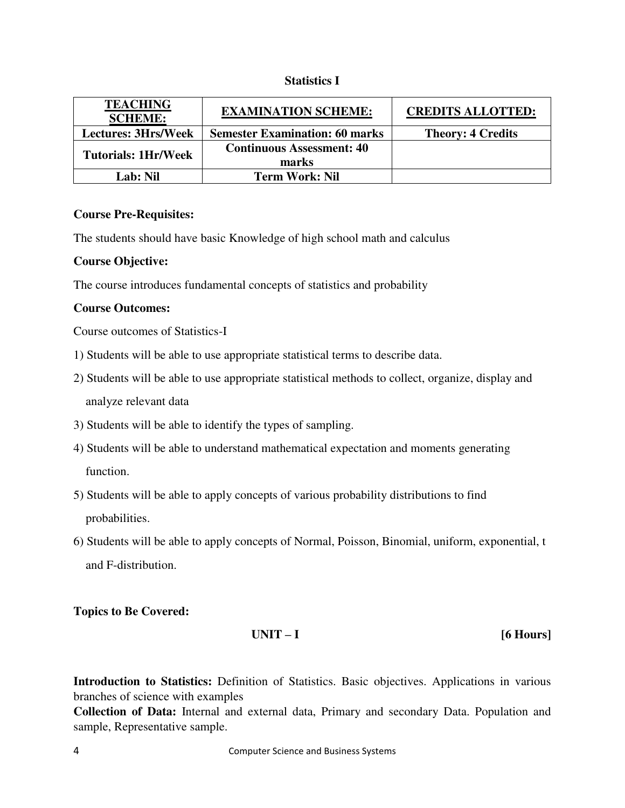### **Statistics I**

| <b>TEACHING</b><br><b>SCHEME:</b> | <b>EXAMINATION SCHEME:</b>            | <b>CREDITS ALLOTTED:</b> |
|-----------------------------------|---------------------------------------|--------------------------|
| <b>Lectures: 3Hrs/Week</b>        | <b>Semester Examination: 60 marks</b> | <b>Theory: 4 Credits</b> |
| <b>Tutorials: 1Hr/Week</b>        | <b>Continuous Assessment: 40</b>      |                          |
|                                   | marks                                 |                          |
| Lab: Nil                          | <b>Term Work: Nil</b>                 |                          |

### **Course Pre-Requisites:**

The students should have basic Knowledge of high school math and calculus

### **Course Objective:**

The course introduces fundamental concepts of statistics and probability

### **Course Outcomes:**

Course outcomes of Statistics-I

- 1) Students will be able to use appropriate statistical terms to describe data.
- 2) Students will be able to use appropriate statistical methods to collect, organize, display and analyze relevant data
- 3) Students will be able to identify the types of sampling.
- 4) Students will be able to understand mathematical expectation and moments generating function.
- 5) Students will be able to apply concepts of various probability distributions to find probabilities.
- 6) Students will be able to apply concepts of Normal, Poisson, Binomial, uniform, exponential, t and F-distribution.

**Topics to Be Covered:** 

### **UNIT – I [6 Hours]**

**Introduction to Statistics:** Definition of Statistics. Basic objectives. Applications in various branches of science with examples

**Collection of Data:** Internal and external data, Primary and secondary Data. Population and sample, Representative sample.

4 Computer Science and Business Systems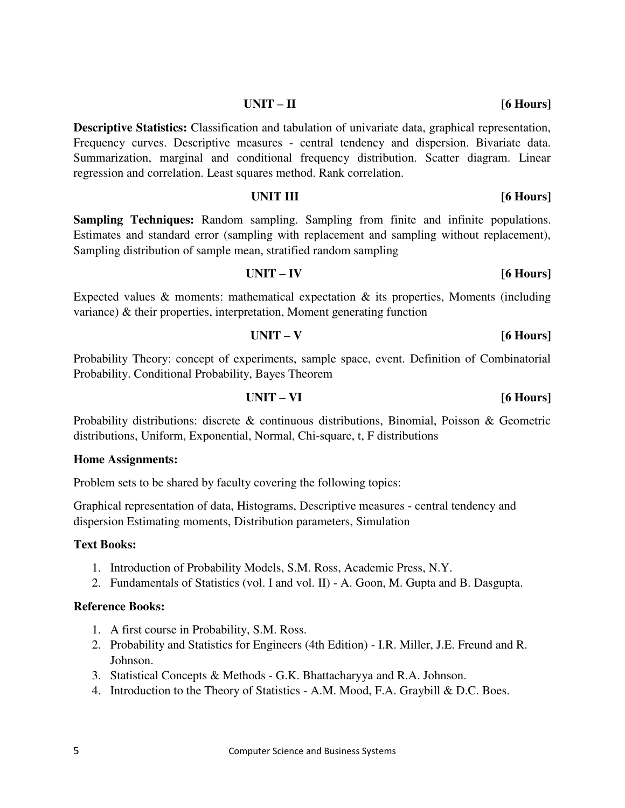### **UNIT – II [6 Hours]**

**Descriptive Statistics:** Classification and tabulation of univariate data, graphical representation, Frequency curves. Descriptive measures - central tendency and dispersion. Bivariate data. Summarization, marginal and conditional frequency distribution. Scatter diagram. Linear regression and correlation. Least squares method. Rank correlation.

### **UNIT III** [6 Hours]

**Sampling Techniques:** Random sampling. Sampling from finite and infinite populations. Estimates and standard error (sampling with replacement and sampling without replacement), Sampling distribution of sample mean, stratified random sampling

## **UNIT – IV [6 Hours]**

Expected values  $\&$  moments: mathematical expectation  $\&$  its properties, Moments (including variance) & their properties, interpretation, Moment generating function

# **UNIT – V [6 Hours]**

Probability Theory: concept of experiments, sample space, event. Definition of Combinatorial Probability. Conditional Probability, Bayes Theorem

### **UNIT – VI [6 Hours]**

Probability distributions: discrete & continuous distributions, Binomial, Poisson & Geometric distributions, Uniform, Exponential, Normal, Chi-square, t, F distributions

### **Home Assignments:**

Problem sets to be shared by faculty covering the following topics:

Graphical representation of data, Histograms, Descriptive measures - central tendency and dispersion Estimating moments, Distribution parameters, Simulation

### **Text Books:**

- 1. Introduction of Probability Models, S.M. Ross, Academic Press, N.Y.
- 2. Fundamentals of Statistics (vol. I and vol. II) A. Goon, M. Gupta and B. Dasgupta.

- 1. A first course in Probability, S.M. Ross.
- 2. Probability and Statistics for Engineers (4th Edition) I.R. Miller, J.E. Freund and R. Johnson.
- 3. Statistical Concepts & Methods G.K. Bhattacharyya and R.A. Johnson.
- 4. Introduction to the Theory of Statistics A.M. Mood, F.A. Graybill & D.C. Boes.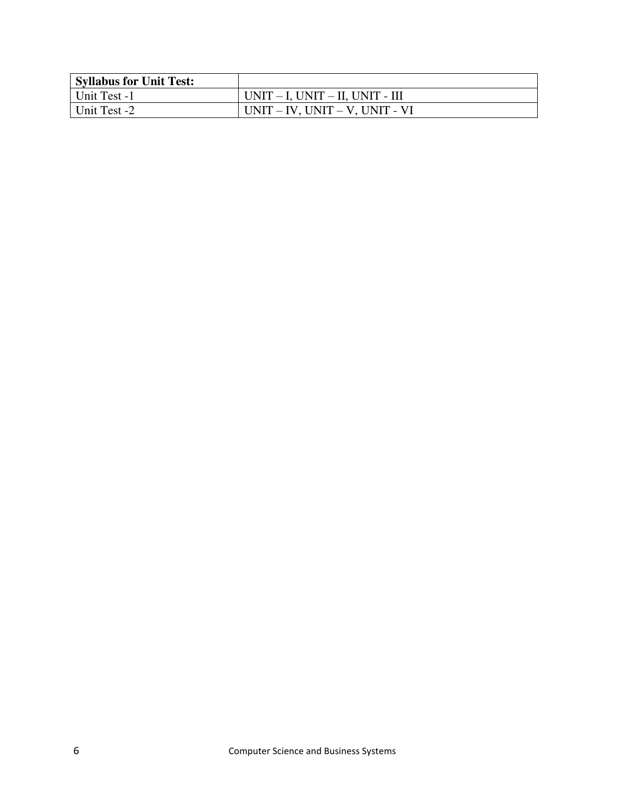| <b>Syllabus for Unit Test:</b> |                                         |
|--------------------------------|-----------------------------------------|
| Unit Test -1                   | $UNIT - I$ , $UNIT - II$ , $UNIT - III$ |
| Unit Test -2                   | $UNIT - IV$ , $UNIT - V$ , $UNIT - VI$  |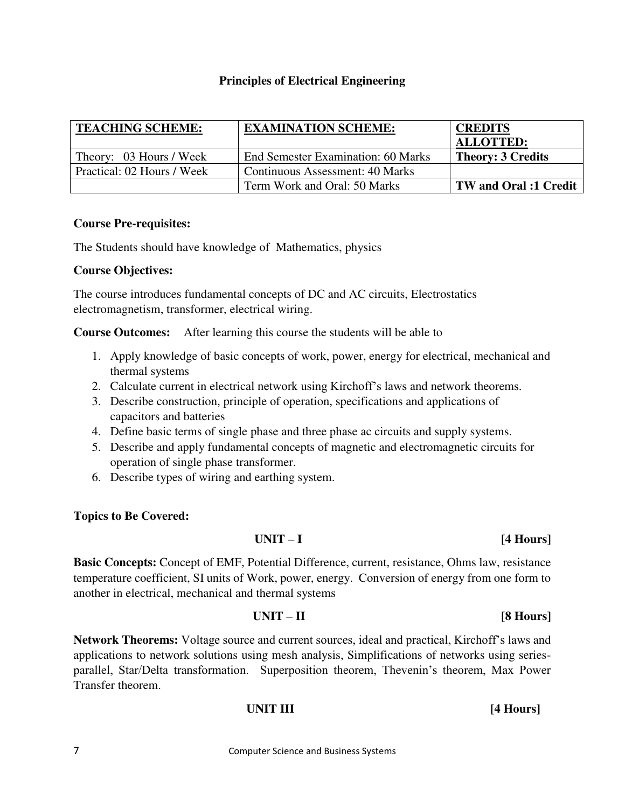### **Principles of Electrical Engineering**

| <b>TEACHING SCHEME:</b>    | <b>EXAMINATION SCHEME:</b>         | <b>CREDITS</b>               |
|----------------------------|------------------------------------|------------------------------|
|                            |                                    | <b>ALLOTTED:</b>             |
| Theory: 03 Hours / Week    | End Semester Examination: 60 Marks | <b>Theory: 3 Credits</b>     |
| Practical: 02 Hours / Week | Continuous Assessment: 40 Marks    |                              |
|                            | Term Work and Oral: 50 Marks       | <b>TW</b> and Oral :1 Credit |

### **Course Pre-requisites:**

The Students should have knowledge of Mathematics, physics

### **Course Objectives:**

The course introduces fundamental concepts of DC and AC circuits, Electrostatics electromagnetism, transformer, electrical wiring.

**Course Outcomes:** After learning this course the students will be able to

- 1. Apply knowledge of basic concepts of work, power, energy for electrical, mechanical and thermal systems
- 2. Calculate current in electrical network using Kirchoff's laws and network theorems.
- 3. Describe construction, principle of operation, specifications and applications of capacitors and batteries
- 4. Define basic terms of single phase and three phase ac circuits and supply systems.
- 5. Describe and apply fundamental concepts of magnetic and electromagnetic circuits for operation of single phase transformer.
- 6. Describe types of wiring and earthing system.

### **Topics to Be Covered:**

### **UNIT – I [4 Hours]**

**Basic Concepts:** Concept of EMF, Potential Difference, current, resistance, Ohms law, resistance temperature coefficient, SI units of Work, power, energy. Conversion of energy from one form to another in electrical, mechanical and thermal systems

### **UNIT – II [8 Hours]**

**Network Theorems:** Voltage source and current sources, ideal and practical, Kirchoff's laws and applications to network solutions using mesh analysis, Simplifications of networks using seriesparallel, Star/Delta transformation. Superposition theorem, Thevenin's theorem, Max Power Transfer theorem.

### *UNIT III* **[4 Hours]**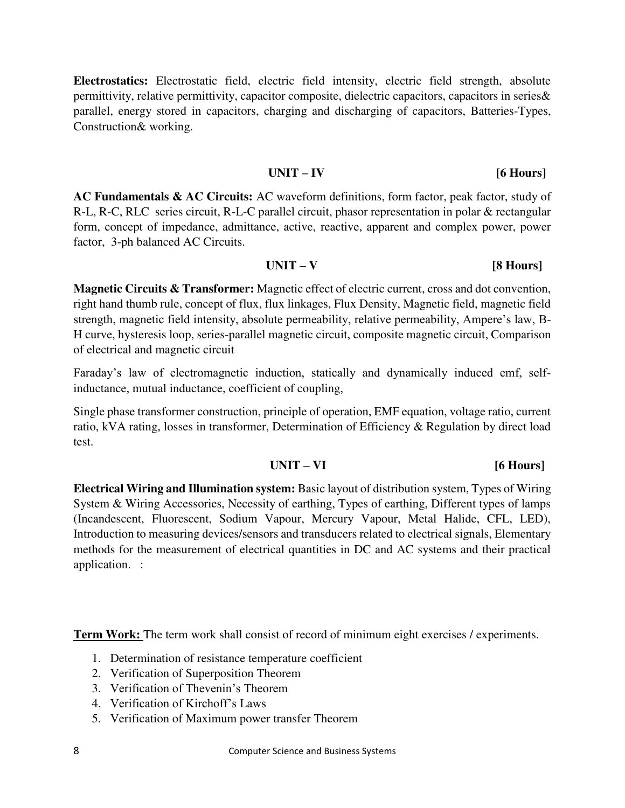**Electrostatics:** Electrostatic field, electric field intensity, electric field strength, absolute permittivity, relative permittivity, capacitor composite, dielectric capacitors, capacitors in series& parallel, energy stored in capacitors, charging and discharging of capacitors, Batteries-Types, Construction& working.

### **UNIT – IV [6 Hours]**

**AC Fundamentals & AC Circuits:** AC waveform definitions, form factor, peak factor, study of R-L, R-C, RLC series circuit, R-L-C parallel circuit, phasor representation in polar & rectangular form, concept of impedance, admittance, active, reactive, apparent and complex power, power factor, 3-ph balanced AC Circuits.

### **UNIT – V [8 Hours]**

**Magnetic Circuits & Transformer:** Magnetic effect of electric current, cross and dot convention, right hand thumb rule, concept of flux, flux linkages, Flux Density, Magnetic field, magnetic field strength, magnetic field intensity, absolute permeability, relative permeability, Ampere's law, B-H curve, hysteresis loop, series-parallel magnetic circuit, composite magnetic circuit, Comparison of electrical and magnetic circuit

Faraday's law of electromagnetic induction, statically and dynamically induced emf, selfinductance, mutual inductance, coefficient of coupling,

Single phase transformer construction, principle of operation, EMF equation, voltage ratio, current ratio, kVA rating, losses in transformer, Determination of Efficiency & Regulation by direct load test.

### **UNIT – VI [6 Hours]**

**Electrical Wiring and Illumination system:** Basic layout of distribution system, Types of Wiring System & Wiring Accessories, Necessity of earthing, Types of earthing, Different types of lamps (Incandescent, Fluorescent, Sodium Vapour, Mercury Vapour, Metal Halide, CFL, LED), Introduction to measuring devices/sensors and transducers related to electrical signals, Elementary methods for the measurement of electrical quantities in DC and AC systems and their practical application.:

**Term Work:** The term work shall consist of record of minimum eight exercises / experiments.

- 1. Determination of resistance temperature coefficient
- 2. Verification of Superposition Theorem
- 3. Verification of Thevenin's Theorem
- 4. Verification of Kirchoff's Laws
- 5. Verification of Maximum power transfer Theorem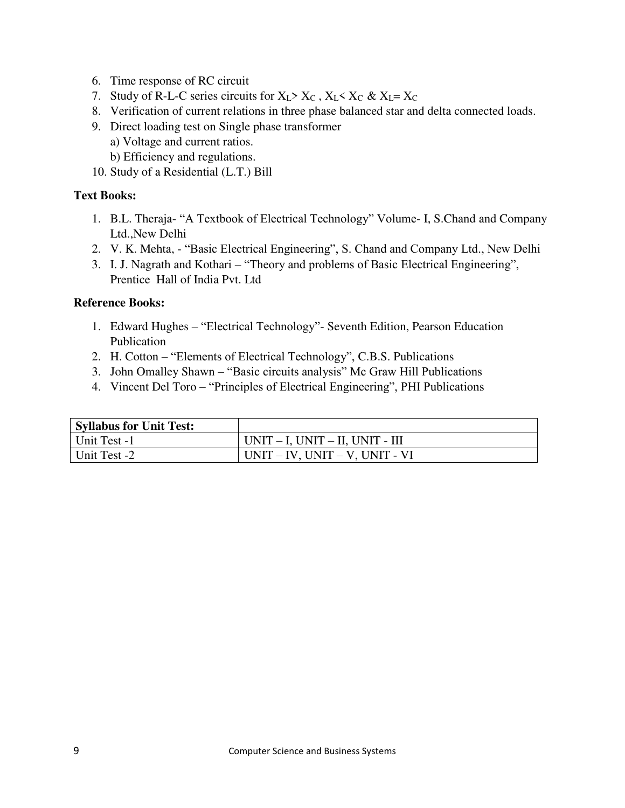- 6. Time response of RC circuit
- 7. Study of R-L-C series circuits for  $X_L > X_C$ ,  $X_L < X_C$  &  $X_L = X_C$
- 8. Verification of current relations in three phase balanced star and delta connected loads.
- 9. Direct loading test on Single phase transformer
	- a) Voltage and current ratios.
	- b) Efficiency and regulations.
- 10. Study of a Residential (L.T.) Bill

### **Text Books:**

- 1. B.L. Theraja- "A Textbook of Electrical Technology" Volume- I, S.Chand and Company Ltd.,New Delhi
- 2. V. K. Mehta, "Basic Electrical Engineering", S. Chand and Company Ltd., New Delhi
- 3. I. J. Nagrath and Kothari "Theory and problems of Basic Electrical Engineering", Prentice Hall of India Pvt. Ltd

- 1. Edward Hughes "Electrical Technology"- Seventh Edition, Pearson Education Publication
- 2. H. Cotton "Elements of Electrical Technology", C.B.S. Publications
- 3. John Omalley Shawn "Basic circuits analysis" Mc Graw Hill Publications
- 4. Vincent Del Toro "Principles of Electrical Engineering", PHI Publications

| <b>Syllabus for Unit Test:</b> |                                         |
|--------------------------------|-----------------------------------------|
| Unit Test -1                   | $UNIT - I$ , $UNIT - II$ , $UNIT - III$ |
| Unit Test -2                   | $UNIT - IV$ , $UNIT - V$ , $UNIT - VI$  |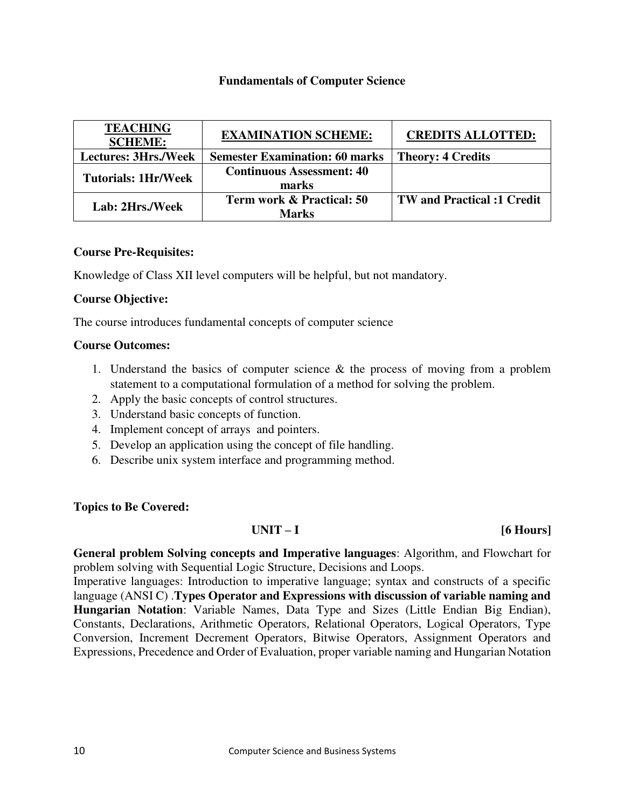### **Fundamentals of Computer Science**

| <b>TEACHING</b><br><b>SCHEME:</b> | <b>EXAMINATION SCHEME:</b>            | <b>CREDITS ALLOTTED:</b>          |
|-----------------------------------|---------------------------------------|-----------------------------------|
| <b>Lectures: 3Hrs./Week</b>       | <b>Semester Examination: 60 marks</b> | <b>Theory: 4 Credits</b>          |
| <b>Tutorials: 1Hr/Week</b>        | <b>Continuous Assessment: 40</b>      |                                   |
|                                   | marks                                 |                                   |
| Lab: 2Hrs./Week                   | <b>Term work &amp; Practical: 50</b>  | <b>TW</b> and Practical :1 Credit |
|                                   | Marks                                 |                                   |

### **Course Pre-Requisites:**

Knowledge of Class XII level computers will be helpful, but not mandatory.

### **Course Objective:**

The course introduces fundamental concepts of computer science

### **Course Outcomes:**

- 1. Understand the basics of computer science & the process of moving from a problem statement to a computational formulation of a method for solving the problem.
- 2. Apply the basic concepts of control structures.
- 3. Understand basic concepts of function.
- 4. Implement concept of arrays and pointers.
- 5. Develop an application using the concept of file handling.
- 6. Describe unix system interface and programming method.

### **Topics to Be Covered:**

### **UNIT – I [6 Hours]**

**General problem Solving concepts and Imperative languages**: Algorithm, and Flowchart for problem solving with Sequential Logic Structure, Decisions and Loops.

Imperative languages: Introduction to imperative language; syntax and constructs of a specific language (ANSI C) .**Types Operator and Expressions with discussion of variable naming and Hungarian Notation**: Variable Names, Data Type and Sizes (Little Endian Big Endian), Constants, Declarations, Arithmetic Operators, Relational Operators, Logical Operators, Type Conversion, Increment Decrement Operators, Bitwise Operators, Assignment Operators and Expressions, Precedence and Order of Evaluation, proper variable naming and Hungarian Notation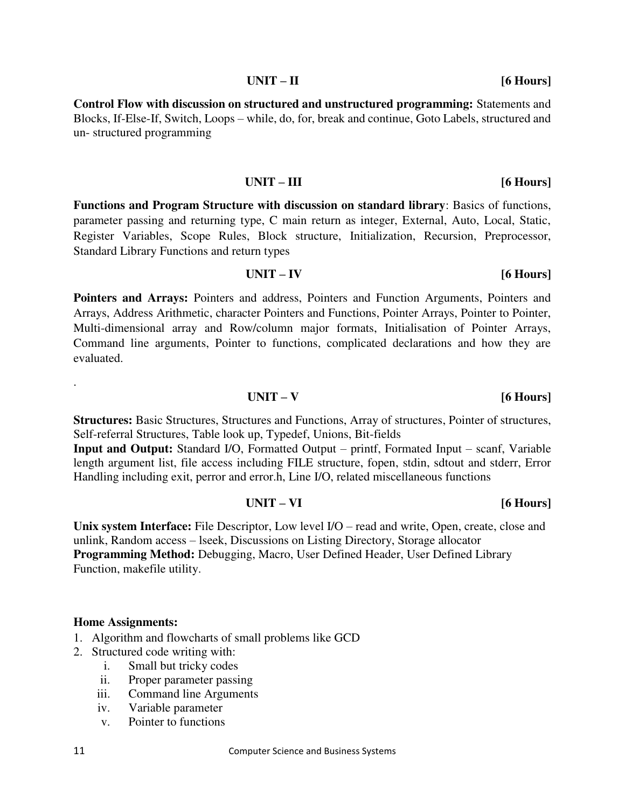### 11 Computer Science and Business Systems

**UNIT – II [6 Hours]** 

**Control Flow with discussion on structured and unstructured programming:** Statements and Blocks, If-Else-If, Switch, Loops – while, do, for, break and continue, Goto Labels, structured and un- structured programming

### **Functions and Program Structure with discussion on standard library**: Basics of functions, parameter passing and returning type, C main return as integer, External, Auto, Local, Static, Register Variables, Scope Rules, Block structure, Initialization, Recursion, Preprocessor, Standard Library Functions and return types

**UNIT – III [6 Hours]** 

**UNIT – IV [6 Hours]** 

**UNIT – VI [6 Hours]** 

**Pointers and Arrays:** Pointers and address, Pointers and Function Arguments, Pointers and Arrays, Address Arithmetic, character Pointers and Functions, Pointer Arrays, Pointer to Pointer, Multi-dimensional array and Row/column major formats, Initialisation of Pointer Arrays, Command line arguments, Pointer to functions, complicated declarations and how they are evaluated.

**Structures:** Basic Structures, Structures and Functions, Array of structures, Pointer of structures, Self-referral Structures, Table look up, Typedef, Unions, Bit-fields

**Input and Output:** Standard I/O, Formatted Output – printf, Formated Input – scanf, Variable length argument list, file access including FILE structure, fopen, stdin, sdtout and stderr, Error Handling including exit, perror and error.h, Line I/O, related miscellaneous functions

Unix system Interface: File Descriptor, Low level I/O – read and write, Open, create, close and unlink, Random access – lseek, Discussions on Listing Directory, Storage allocator **Programming Method:** Debugging, Macro, User Defined Header, User Defined Library Function, makefile utility.

### **Home Assignments:**

.

- 1. Algorithm and flowcharts of small problems like GCD
- 2. Structured code writing with:
	- i. Small but tricky codes
	- ii. Proper parameter passing
	- iii. Command line Arguments
	- iv. Variable parameter
	- v. Pointer to functions

**UNIT – V [6 Hours]**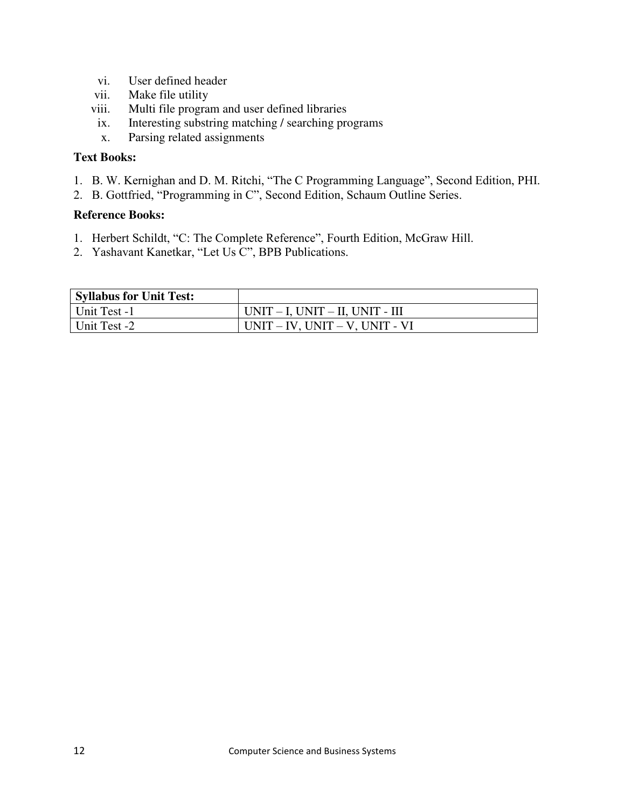- vi. User defined header
- vii. Make file utility
- viii. Multi file program and user defined libraries
- ix. Interesting substring matching / searching programs
- x. Parsing related assignments

### **Text Books:**

- 1. B. W. Kernighan and D. M. Ritchi, "The C Programming Language", Second Edition, PHI.
- 2. B. Gottfried, "Programming in C", Second Edition, Schaum Outline Series.

- 1. Herbert Schildt, "C: The Complete Reference", Fourth Edition, McGraw Hill.
- 2. Yashavant Kanetkar, "Let Us C", BPB Publications.

| <b>Syllabus for Unit Test:</b> |                                         |
|--------------------------------|-----------------------------------------|
| Unit Test -1                   | $UNIT - I$ , $UNIT - II$ , $UNIT - III$ |
| Unit Test -2                   | $UNIT - IV$ , $UNIT - V$ , $UNIT - VI$  |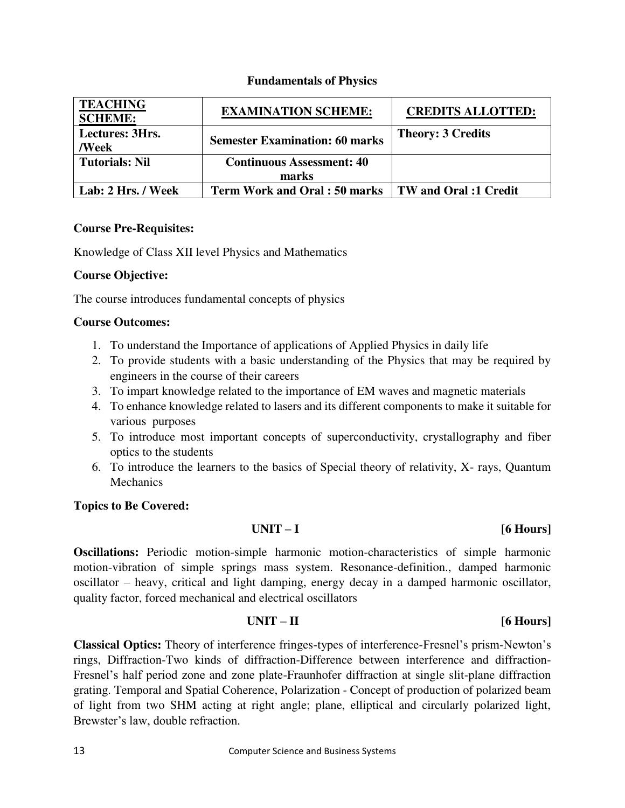| <b>TEACHING</b><br><b>SCHEME:</b> | <b>EXAMINATION SCHEME:</b>            | <b>CREDITS ALLOTTED:</b> |
|-----------------------------------|---------------------------------------|--------------------------|
| Lectures: 3Hrs.<br>/Week          | <b>Semester Examination: 60 marks</b> | <b>Theory: 3 Credits</b> |
| <b>Tutorials: Nil</b>             | <b>Continuous Assessment: 40</b>      |                          |
|                                   | marks                                 |                          |
| Lab: 2 Hrs. / Week                | <b>Term Work and Oral : 50 marks</b>  | TW and Oral :1 Credit    |

### **Fundamentals of Physics**

### **Course Pre-Requisites:**

Knowledge of Class XII level Physics and Mathematics

### **Course Objective:**

The course introduces fundamental concepts of physics

### **Course Outcomes:**

- 1. To understand the Importance of applications of Applied Physics in daily life
- 2. To provide students with a basic understanding of the Physics that may be required by engineers in the course of their careers
- 3. To impart knowledge related to the importance of EM waves and magnetic materials
- 4. To enhance knowledge related to lasers and its different components to make it suitable for various purposes
- 5. To introduce most important concepts of superconductivity, crystallography and fiber optics to the students
- 6. To introduce the learners to the basics of Special theory of relativity, X- rays, Quantum **Mechanics**

### **Topics to Be Covered:**

### **UNIT – I [6 Hours]**

**Oscillations:** Periodic motion-simple harmonic motion-characteristics of simple harmonic motion-vibration of simple springs mass system. Resonance-definition., damped harmonic oscillator – heavy, critical and light damping, energy decay in a damped harmonic oscillator, quality factor, forced mechanical and electrical oscillators

### **UNIT – II [6 Hours]**

**Classical Optics:** Theory of interference fringes-types of interference-Fresnel's prism-Newton's rings, Diffraction-Two kinds of diffraction-Difference between interference and diffraction-Fresnel's half period zone and zone plate-Fraunhofer diffraction at single slit-plane diffraction grating. Temporal and Spatial Coherence, Polarization - Concept of production of polarized beam of light from two SHM acting at right angle; plane, elliptical and circularly polarized light, Brewster's law, double refraction.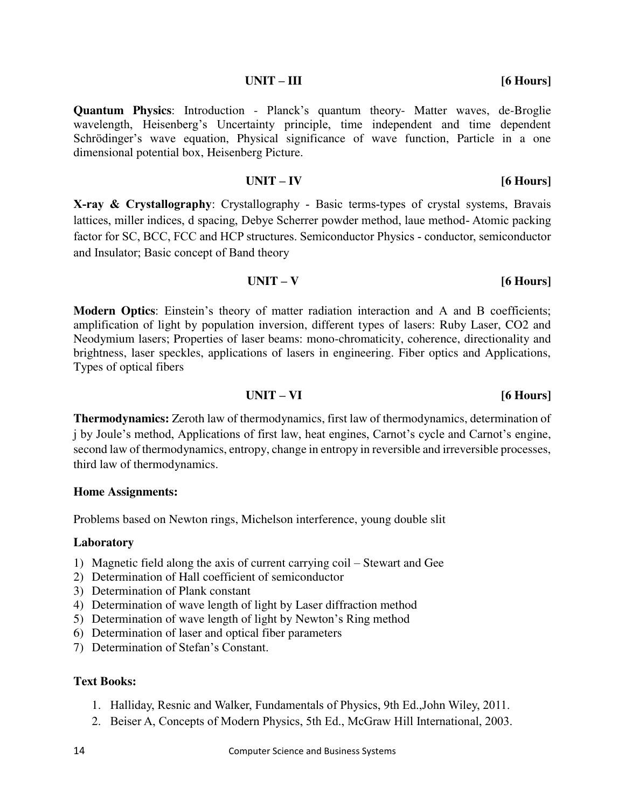### factor for SC, BCC, FCC and HCP structures. Semiconductor Physics - conductor, semiconductor and Insulator; Basic concept of Band theory

### **UNIT – V [6 Hours]**

**Modern Optics**: Einstein's theory of matter radiation interaction and A and B coefficients; amplification of light by population inversion, different types of lasers: Ruby Laser, CO2 and Neodymium lasers; Properties of laser beams: mono-chromaticity, coherence, directionality and brightness, laser speckles, applications of lasers in engineering. Fiber optics and Applications, Types of optical fibers

### **UNIT – VI [6 Hours]**

**Thermodynamics:** Zeroth law of thermodynamics, first law of thermodynamics, determination of j by Joule's method, Applications of first law, heat engines, Carnot's cycle and Carnot's engine, second law of thermodynamics, entropy, change in entropy in reversible and irreversible processes, third law of thermodynamics.

### **Home Assignments:**

Problems based on Newton rings, Michelson interference, young double slit

### **Laboratory**

- 1) Magnetic field along the axis of current carrying coil Stewart and Gee
- 2) Determination of Hall coefficient of semiconductor
- 3) Determination of Plank constant
- 4) Determination of wave length of light by Laser diffraction method
- 5) Determination of wave length of light by Newton's Ring method
- 6) Determination of laser and optical fiber parameters
- 7) Determination of Stefan's Constant.

### **Text Books:**

- 1. Halliday, Resnic and Walker, Fundamentals of Physics, 9th Ed.,John Wiley, 2011.
- 2. Beiser A, Concepts of Modern Physics, 5th Ed., McGraw Hill International, 2003.

**Quantum Physics**: Introduction - Planck's quantum theory- Matter waves, de-Broglie wavelength, Heisenberg's Uncertainty principle, time independent and time dependent Schrödinger's wave equation, Physical significance of wave function, Particle in a one dimensional potential box, Heisenberg Picture.

**X-ray & Crystallography**: Crystallography - Basic terms-types of crystal systems, Bravais lattices, miller indices, d spacing, Debye Scherrer powder method, laue method- Atomic packing

### **UNIT – IV [6 Hours]**

**UNIT – III [6 Hours]**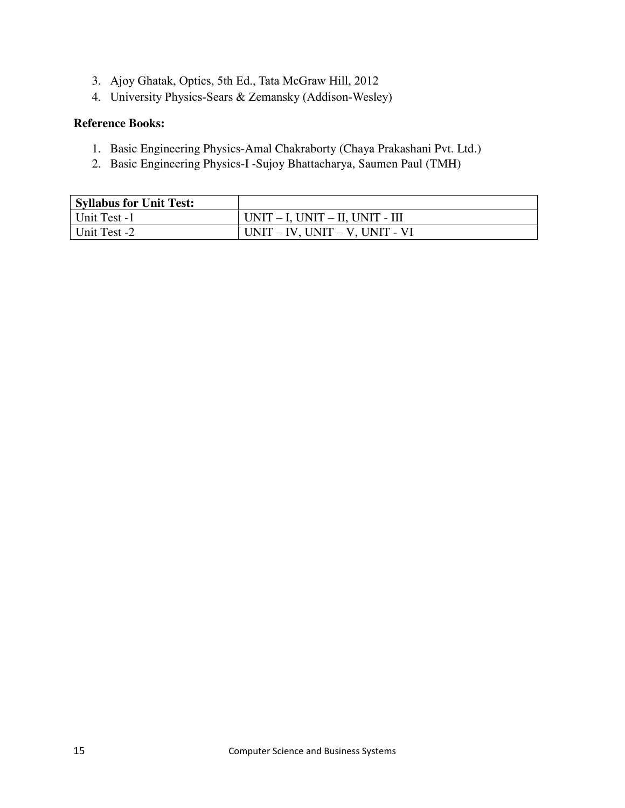- 3. Ajoy Ghatak, Optics, 5th Ed., Tata McGraw Hill, 2012
- 4. University Physics-Sears & Zemansky (Addison-Wesley)

- 1. Basic Engineering Physics-Amal Chakraborty (Chaya Prakashani Pvt. Ltd.)
- 2. Basic Engineering Physics-I -Sujoy Bhattacharya, Saumen Paul (TMH)

| <b>Syllabus for Unit Test:</b> |                                         |
|--------------------------------|-----------------------------------------|
| Unit Test -1                   | $UNIT - I$ , $UNIT - II$ , $UNIT - III$ |
| Unit Test -2                   | $UNIT - IV$ , $UNIT - V$ , $UNIT - VI$  |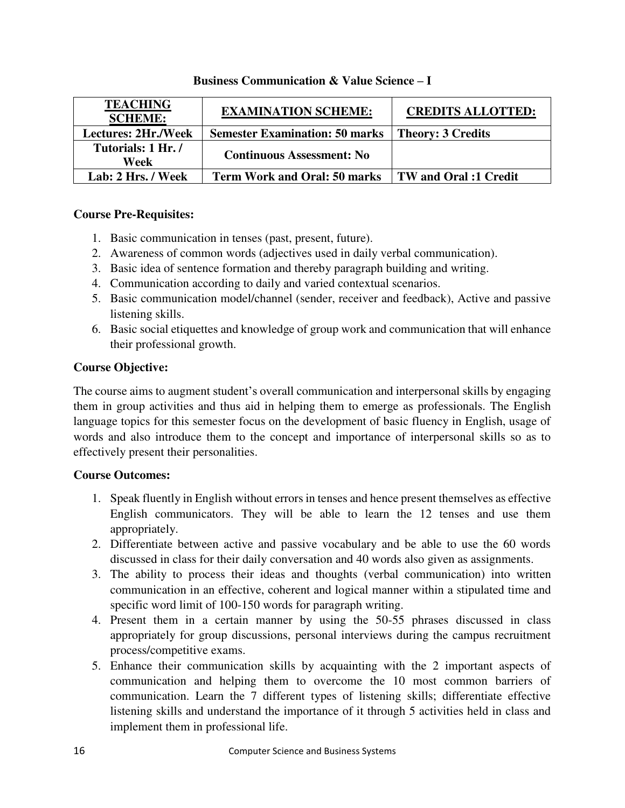| <b>TEACHING</b><br><b>SCHEME:</b> | <b>EXAMINATION SCHEME:</b>            | <b>CREDITS ALLOTTED:</b>     |
|-----------------------------------|---------------------------------------|------------------------------|
| <b>Lectures: 2Hr./Week</b>        | <b>Semester Examination: 50 marks</b> | <b>Theory: 3 Credits</b>     |
| Tutorials: 1 Hr./<br>Week         | <b>Continuous Assessment: No</b>      |                              |
| Lab: 2 Hrs. / Week                | <b>Term Work and Oral: 50 marks</b>   | <b>TW</b> and Oral :1 Credit |

### **Business Communication & Value Science – I**

### **Course Pre-Requisites:**

- 1. Basic communication in tenses (past, present, future).
- 2. Awareness of common words (adjectives used in daily verbal communication).
- 3. Basic idea of sentence formation and thereby paragraph building and writing.
- 4. Communication according to daily and varied contextual scenarios.
- 5. Basic communication model/channel (sender, receiver and feedback), Active and passive listening skills.
- 6. Basic social etiquettes and knowledge of group work and communication that will enhance their professional growth.

### **Course Objective:**

The course aims to augment student's overall communication and interpersonal skills by engaging them in group activities and thus aid in helping them to emerge as professionals. The English language topics for this semester focus on the development of basic fluency in English, usage of words and also introduce them to the concept and importance of interpersonal skills so as to effectively present their personalities.

### **Course Outcomes:**

- 1. Speak fluently in English without errors in tenses and hence present themselves as effective English communicators. They will be able to learn the 12 tenses and use them appropriately.
- 2. Differentiate between active and passive vocabulary and be able to use the 60 words discussed in class for their daily conversation and 40 words also given as assignments.
- 3. The ability to process their ideas and thoughts (verbal communication) into written communication in an effective, coherent and logical manner within a stipulated time and specific word limit of 100-150 words for paragraph writing.
- 4. Present them in a certain manner by using the 50-55 phrases discussed in class appropriately for group discussions, personal interviews during the campus recruitment process/competitive exams.
- 5. Enhance their communication skills by acquainting with the 2 important aspects of communication and helping them to overcome the 10 most common barriers of communication. Learn the 7 different types of listening skills; differentiate effective listening skills and understand the importance of it through 5 activities held in class and implement them in professional life.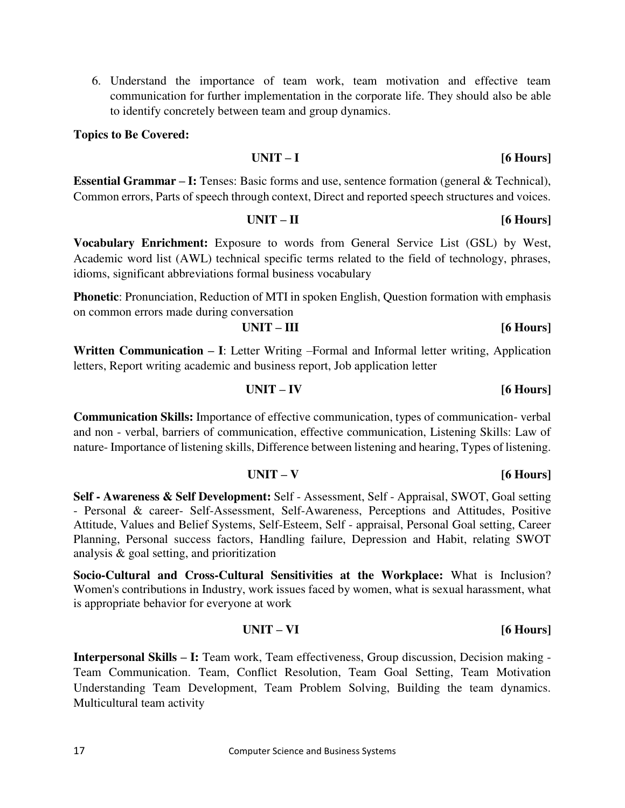6. Understand the importance of team work, team motivation and effective team communication for further implementation in the corporate life. They should also be able to identify concretely between team and group dynamics.

### **Topics to Be Covered:**

### **UNIT – I [6 Hours]**

**Essential Grammar – I:** Tenses: Basic forms and use, sentence formation (general & Technical), Common errors, Parts of speech through context, Direct and reported speech structures and voices.

### **UNIT – II [6 Hours]**

**Vocabulary Enrichment:** Exposure to words from General Service List (GSL) by West, Academic word list (AWL) technical specific terms related to the field of technology, phrases, idioms, significant abbreviations formal business vocabulary

**Phonetic**: Pronunciation, Reduction of MTI in spoken English, Question formation with emphasis on common errors made during conversation

| $UNIT - III$ | $[6$ Hours] |
|--------------|-------------|
|--------------|-------------|

**Written Communication – I**: Letter Writing –Formal and Informal letter writing, Application letters, Report writing academic and business report, Job application letter

### **UNIT – IV [6 Hours]**

**Communication Skills:** Importance of effective communication, types of communication- verbal and non - verbal, barriers of communication, effective communication, Listening Skills: Law of nature- Importance of listening skills, Difference between listening and hearing, Types of listening.

### **UNIT – V [6 Hours]**

**Self - Awareness & Self Development:** Self - Assessment, Self - Appraisal, SWOT, Goal setting - Personal & career- Self-Assessment, Self-Awareness, Perceptions and Attitudes, Positive Attitude, Values and Belief Systems, Self-Esteem, Self - appraisal, Personal Goal setting, Career Planning, Personal success factors, Handling failure, Depression and Habit, relating SWOT analysis & goal setting, and prioritization

**Socio-Cultural and Cross-Cultural Sensitivities at the Workplace:** What is Inclusion? Women's contributions in Industry, work issues faced by women, what is sexual harassment, what is appropriate behavior for everyone at work

### **UNIT – VI [6 Hours]**

**Interpersonal Skills – I:** Team work, Team effectiveness, Group discussion, Decision making - Team Communication. Team, Conflict Resolution, Team Goal Setting, Team Motivation Understanding Team Development, Team Problem Solving, Building the team dynamics. Multicultural team activity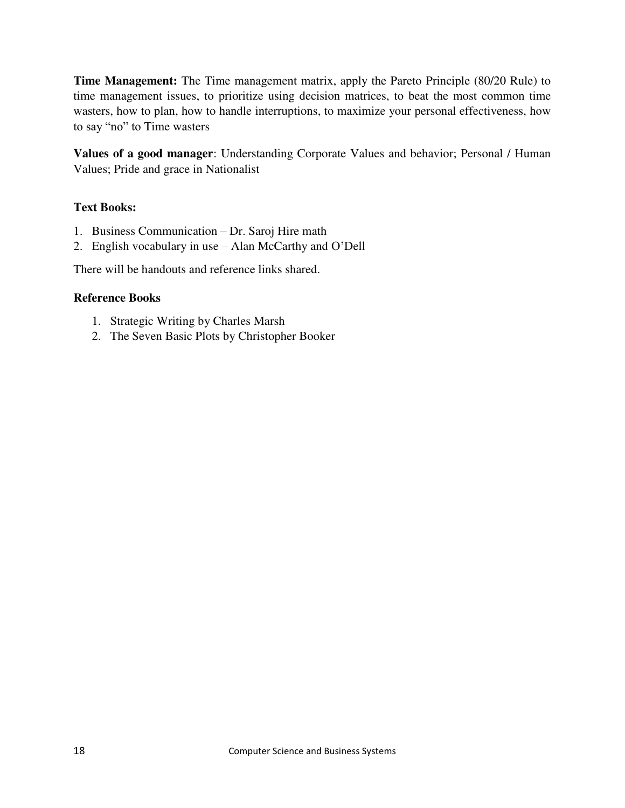**Time Management:** The Time management matrix, apply the Pareto Principle (80/20 Rule) to time management issues, to prioritize using decision matrices, to beat the most common time wasters, how to plan, how to handle interruptions, to maximize your personal effectiveness, how to say "no" to Time wasters

**Values of a good manager**: Understanding Corporate Values and behavior; Personal / Human Values; Pride and grace in Nationalist

### **Text Books:**

- 1. Business Communication Dr. Saroj Hire math
- 2. English vocabulary in use Alan McCarthy and O'Dell

There will be handouts and reference links shared.

- 1. Strategic Writing by Charles Marsh
- 2. The Seven Basic Plots by Christopher Booker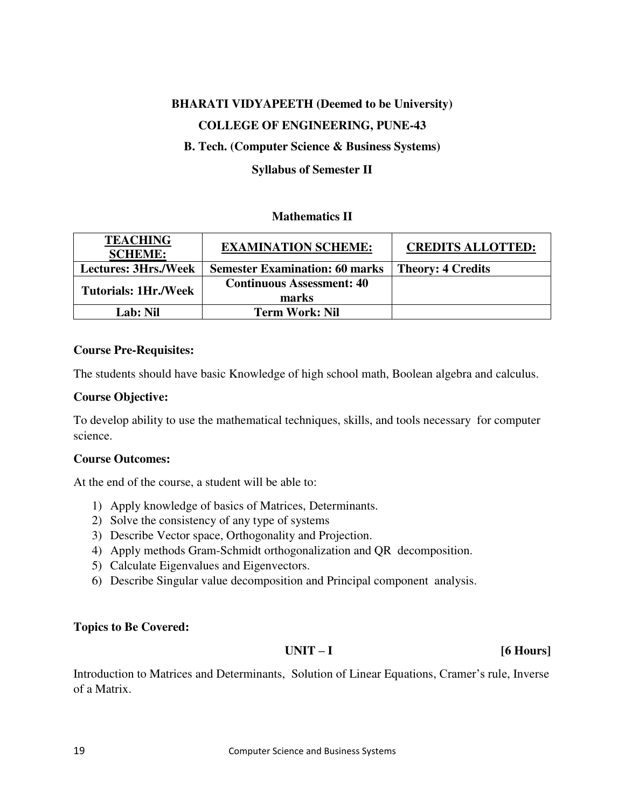## **BHARATI VIDYAPEETH (Deemed to be University) COLLEGE OF ENGINEERING, PUNE-43**

### **B. Tech. (Computer Science & Business Systems)**

### **Syllabus of Semester II**

### **Mathematics II**

| <b>TEACHING</b><br><b>SCHEME:</b> | <b>EXAMINATION SCHEME:</b>            | <b>CREDITS ALLOTTED:</b> |
|-----------------------------------|---------------------------------------|--------------------------|
| <b>Lectures: 3Hrs./Week</b>       | <b>Semester Examination: 60 marks</b> | <b>Theory: 4 Credits</b> |
| <b>Tutorials: 1Hr./Week</b>       | <b>Continuous Assessment: 40</b>      |                          |
|                                   | marks                                 |                          |
| Lab: Nil                          | <b>Term Work: Nil</b>                 |                          |

### **Course Pre-Requisites:**

The students should have basic Knowledge of high school math, Boolean algebra and calculus.

### **Course Objective:**

To develop ability to use the mathematical techniques, skills, and tools necessary for computer science.

### **Course Outcomes:**

At the end of the course, a student will be able to:

- 1) Apply knowledge of basics of Matrices, Determinants.
- 2) Solve the consistency of any type of systems
- 3) Describe Vector space, Orthogonality and Projection.
- 4) Apply methods Gram-Schmidt orthogonalization and QR decomposition.
- 5) Calculate Eigenvalues and Eigenvectors.
- 6) Describe Singular value decomposition and Principal component analysis.

### **Topics to Be Covered:**

### **UNIT – I [6 Hours]**

Introduction to Matrices and Determinants, Solution of Linear Equations, Cramer's rule, Inverse of a Matrix.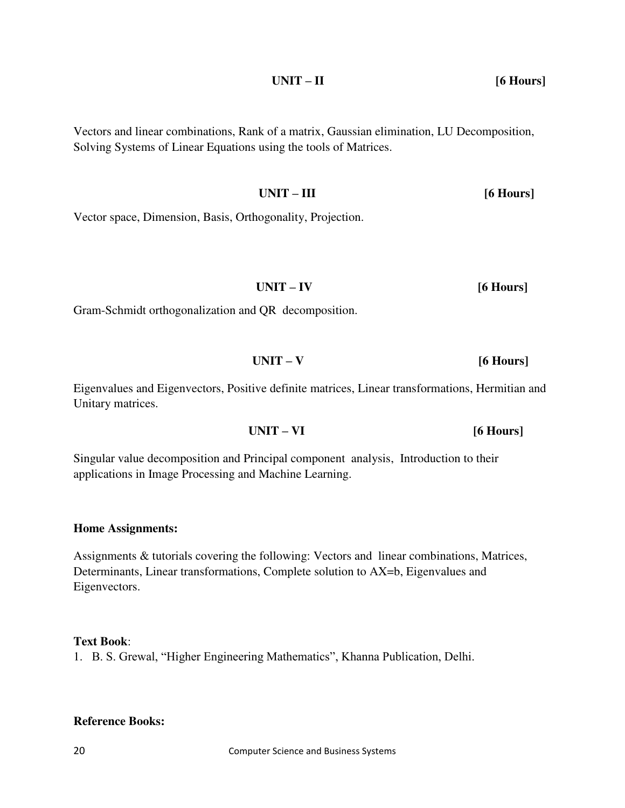**UNIT – II [6 Hours]** 

Vectors and linear combinations, Rank of a matrix, Gaussian elimination, LU Decomposition, Solving Systems of Linear Equations using the tools of Matrices.

 **UNIT – III [6 Hours]** 

Vector space, Dimension, Basis, Orthogonality, Projection.

Gram-Schmidt orthogonalization and QR decomposition.

Eigenvalues and Eigenvectors, Positive definite matrices, Linear transformations, Hermitian and Unitary matrices.

 **UNIT – IV [6 Hours]** 

 **UNIT – V [6 Hours]** 

Singular value decomposition and Principal component analysis, Introduction to their applications in Image Processing and Machine Learning.

**Home Assignments:** 

Assignments & tutorials covering the following: Vectors and linear combinations, Matrices, Determinants, Linear transformations, Complete solution to AX=b, Eigenvalues and Eigenvectors.

### **Text Book**:

1. B. S. Grewal, "Higher Engineering Mathematics", Khanna Publication, Delhi.

### **Reference Books:**

 **UNIT – VI [6 Hours]**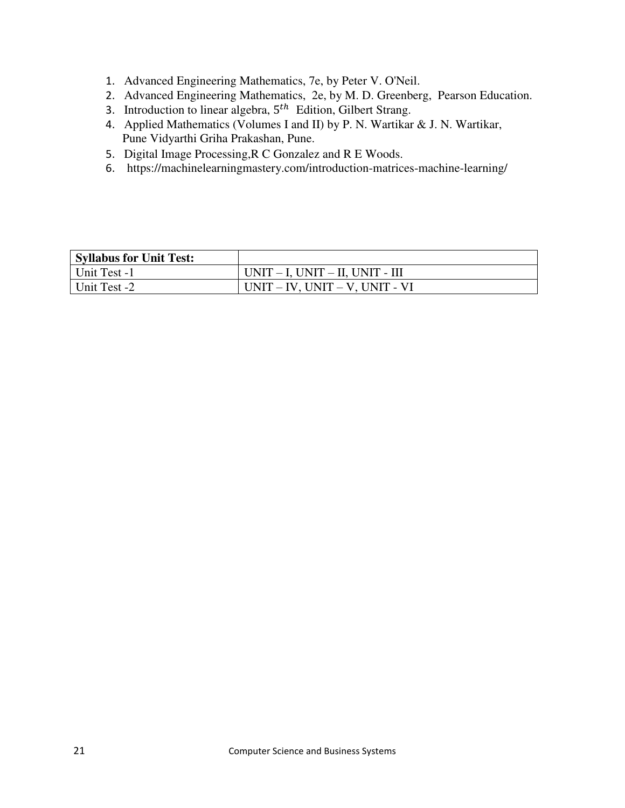- 1. Advanced Engineering Mathematics, 7e, by Peter V. O'Neil.
- 2. Advanced Engineering Mathematics, 2e, by M. D. Greenberg, Pearson Education.
- 3. Introduction to linear algebra,  $5<sup>th</sup>$  Edition, Gilbert Strang.
- 4. Applied Mathematics (Volumes I and II) by P. N. Wartikar & J. N. Wartikar, Pune Vidyarthi Griha Prakashan, Pune.
- 5. Digital Image Processing,R C Gonzalez and R E Woods.
- 6. https://machinelearningmastery.com/introduction-matrices-machine-learning/

| <b>Syllabus for Unit Test:</b> |                                         |
|--------------------------------|-----------------------------------------|
| Unit Test -1                   | $UNIT - I$ , $UNIT - II$ , $UNIT - III$ |
| Unit Test -2                   | $UNIT - IV$ , $UNIT - V$ , $UNIT - VI$  |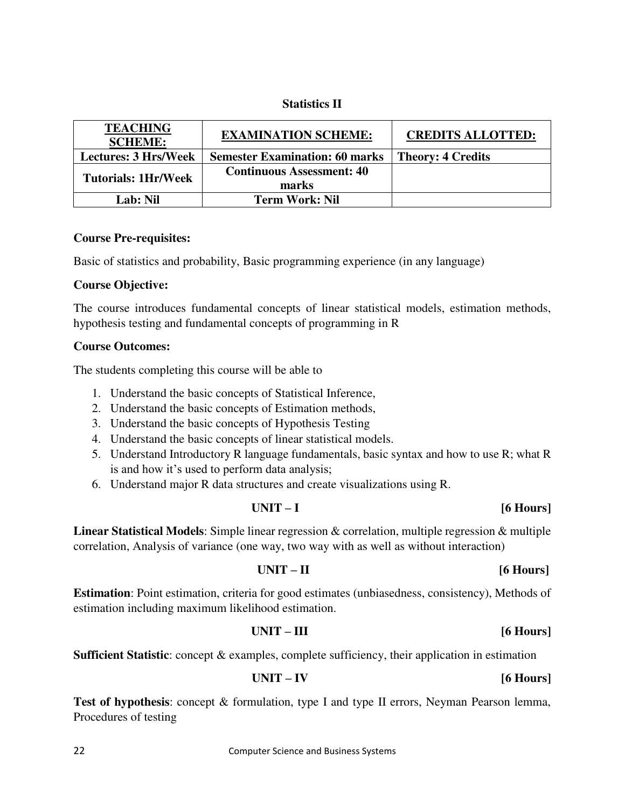### **Statistics II**

| <b>TEACHING</b><br><b>SCHEME:</b> | <b>EXAMINATION SCHEME:</b>            | <b>CREDITS ALLOTTED:</b> |
|-----------------------------------|---------------------------------------|--------------------------|
| <b>Lectures: 3 Hrs/Week</b>       | <b>Semester Examination: 60 marks</b> | <b>Theory: 4 Credits</b> |
| <b>Tutorials: 1Hr/Week</b>        | <b>Continuous Assessment: 40</b>      |                          |
|                                   | marks                                 |                          |
| Lab: Nil                          | <b>Term Work: Nil</b>                 |                          |

### **Course Pre-requisites:**

Basic of statistics and probability, Basic programming experience (in any language)

### **Course Objective:**

The course introduces fundamental concepts of linear statistical models, estimation methods, hypothesis testing and fundamental concepts of programming in R

### **Course Outcomes:**

The students completing this course will be able to

- 1. Understand the basic concepts of Statistical Inference,
- 2. Understand the basic concepts of Estimation methods,
- 3. Understand the basic concepts of Hypothesis Testing
- 4. Understand the basic concepts of linear statistical models.
- 5. Understand Introductory R language fundamentals, basic syntax and how to use R; what R is and how it's used to perform data analysis;
- 6. Understand major R data structures and create visualizations using R.

### **UNIT – I [6 Hours]**

**Linear Statistical Models**: Simple linear regression & correlation, multiple regression & multiple correlation, Analysis of variance (one way, two way with as well as without interaction)

### **UNIT – II [6 Hours]**

**Estimation**: Point estimation, criteria for good estimates (unbiasedness, consistency), Methods of estimation including maximum likelihood estimation.

### **UNIT – III [6 Hours]**

**Sufficient Statistic**: concept & examples, complete sufficiency, their application in estimation

$$
UNIT - IV \t\t\t [6 Hours]
$$

Test of hypothesis: concept & formulation, type I and type II errors, Neyman Pearson lemma, Procedures of testing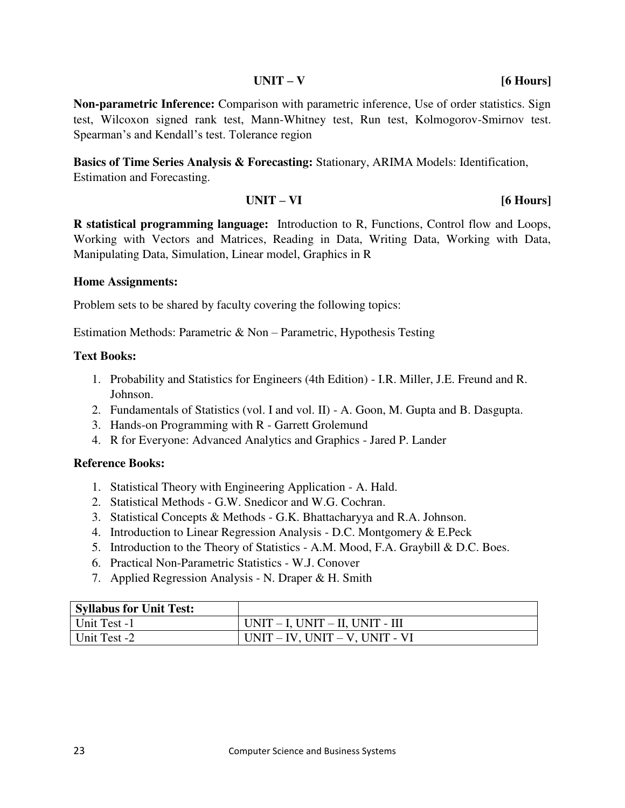### **UNIT – V [6 Hours]**

**Non-parametric Inference:** Comparison with parametric inference, Use of order statistics. Sign test, Wilcoxon signed rank test, Mann-Whitney test, Run test, Kolmogorov-Smirnov test. Spearman's and Kendall's test. Tolerance region

**Basics of Time Series Analysis & Forecasting:** Stationary, ARIMA Models: Identification, Estimation and Forecasting.

$$
UNIT - VI \t\t [6 Hours]
$$

**R statistical programming language:** Introduction to R, Functions, Control flow and Loops, Working with Vectors and Matrices, Reading in Data, Writing Data, Working with Data, Manipulating Data, Simulation, Linear model, Graphics in R

### **Home Assignments:**

Problem sets to be shared by faculty covering the following topics:

Estimation Methods: Parametric & Non – Parametric, Hypothesis Testing

### **Text Books:**

- 1. Probability and Statistics for Engineers (4th Edition) I.R. Miller, J.E. Freund and R. Johnson.
- 2. Fundamentals of Statistics (vol. I and vol. II) A. Goon, M. Gupta and B. Dasgupta.
- 3. Hands-on Programming with R Garrett Grolemund
- 4. R for Everyone: Advanced Analytics and Graphics Jared P. Lander

- 1. Statistical Theory with Engineering Application A. Hald.
- 2. Statistical Methods G.W. Snedicor and W.G. Cochran.
- 3. Statistical Concepts & Methods G.K. Bhattacharyya and R.A. Johnson.
- 4. Introduction to Linear Regression Analysis D.C. Montgomery & E.Peck
- 5. Introduction to the Theory of Statistics A.M. Mood, F.A. Graybill & D.C. Boes.
- 6. Practical Non-Parametric Statistics W.J. Conover
- 7. Applied Regression Analysis N. Draper & H. Smith

| <b>Syllabus for Unit Test:</b> |                                        |
|--------------------------------|----------------------------------------|
| Unit Test -1                   | UNIT – I, UNIT – II, UNIT - III        |
| Unit Test -2                   | $UNIT - IV$ , $UNIT - V$ , $UNIT - VI$ |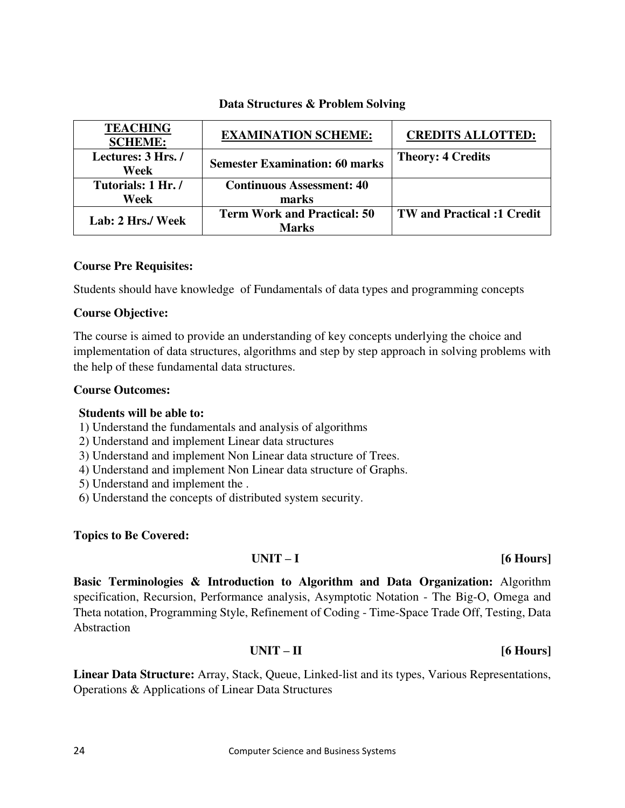### **Data Structures & Problem Solving**

| <b>TEACHING</b><br><b>SCHEME:</b> | <b>EXAMINATION SCHEME:</b>            | <b>CREDITS ALLOTTED:</b>          |
|-----------------------------------|---------------------------------------|-----------------------------------|
| Lectures: 3 Hrs./                 | <b>Semester Examination: 60 marks</b> | <b>Theory: 4 Credits</b>          |
| Week                              |                                       |                                   |
| Tutorials: 1 Hr./                 | <b>Continuous Assessment: 40</b>      |                                   |
| Week                              | marks                                 |                                   |
|                                   | <b>Term Work and Practical: 50</b>    | <b>TW</b> and Practical :1 Credit |
| Lab: 2 Hrs./ Week                 | Marks                                 |                                   |

### **Course Pre Requisites:**

Students should have knowledge of Fundamentals of data types and programming concepts

### **Course Objective:**

The course is aimed to provide an understanding of key concepts underlying the choice and implementation of data structures, algorithms and step by step approach in solving problems with the help of these fundamental data structures.

### **Course Outcomes:**

### **Students will be able to:**

1) Understand the fundamentals and analysis of algorithms

2) Understand and implement Linear data structures

3) Understand and implement Non Linear data structure of Trees.

4) Understand and implement Non Linear data structure of Graphs.

5) Understand and implement the .

6) Understand the concepts of distributed system security.

### **Topics to Be Covered:**

### **UNIT – I [6 Hours]**

**Basic Terminologies & Introduction to Algorithm and Data Organization:** Algorithm specification, Recursion, Performance analysis, Asymptotic Notation - The Big-O, Omega and Theta notation, Programming Style, Refinement of Coding - Time-Space Trade Off, Testing, Data **Abstraction** 

### **UNIT – II [6 Hours]**

**Linear Data Structure:** Array, Stack, Queue, Linked-list and its types, Various Representations, Operations & Applications of Linear Data Structures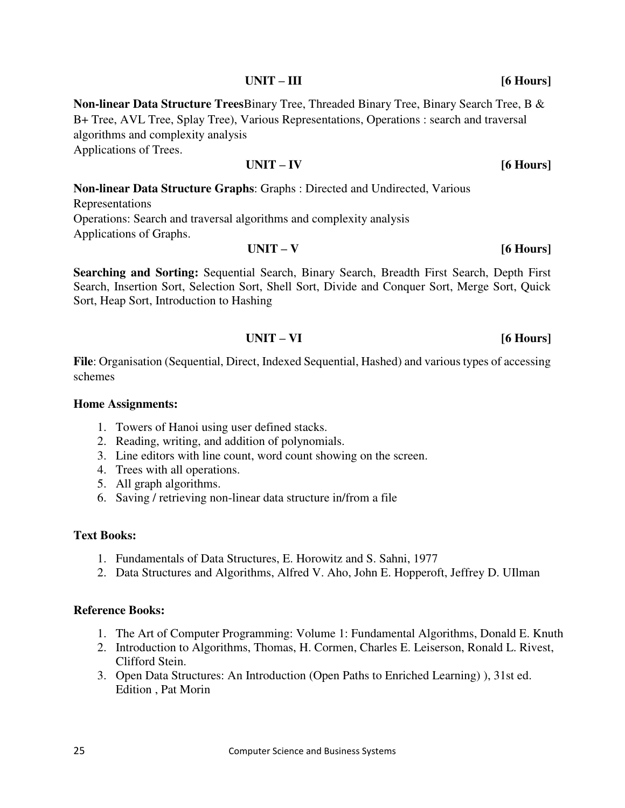### **UNIT – III [6 Hours]**

**Non-linear Data Structure Trees**Binary Tree, Threaded Binary Tree, Binary Search Tree, B & B+ Tree, AVL Tree, Splay Tree), Various Representations, Operations : search and traversal algorithms and complexity analysis Applications of Trees.

### **UNIT – IV [6 Hours]**

**Non-linear Data Structure Graphs**: Graphs : Directed and Undirected, Various Representations Operations: Search and traversal algorithms and complexity analysis Applications of Graphs.

### **UNIT – V [6 Hours]**

**Searching and Sorting:** Sequential Search, Binary Search, Breadth First Search, Depth First Search, Insertion Sort, Selection Sort, Shell Sort, Divide and Conquer Sort, Merge Sort, Quick Sort, Heap Sort, Introduction to Hashing

### **UNIT – VI [6 Hours]**

**File**: Organisation (Sequential, Direct, Indexed Sequential, Hashed) and various types of accessing schemes

### **Home Assignments:**

- 1. Towers of Hanoi using user defined stacks.
- 2. Reading, writing, and addition of polynomials.
- 3. Line editors with line count, word count showing on the screen.
- 4. Trees with all operations.
- 5. All graph algorithms.
- 6. Saving / retrieving non-linear data structure in/from a file

### **Text Books:**

- 1. Fundamentals of Data Structures, E. Horowitz and S. Sahni, 1977
- 2. Data Structures and Algorithms, Alfred V. Aho, John E. Hopperoft, Jeffrey D. UIlman

- 1. The Art of Computer Programming: Volume 1: Fundamental Algorithms, Donald E. Knuth
- 2. Introduction to Algorithms, Thomas, H. Cormen, Charles E. Leiserson, Ronald L. Rivest, Clifford Stein.
- 3. Open Data Structures: An Introduction (Open Paths to Enriched Learning) ), 31st ed. Edition , Pat Morin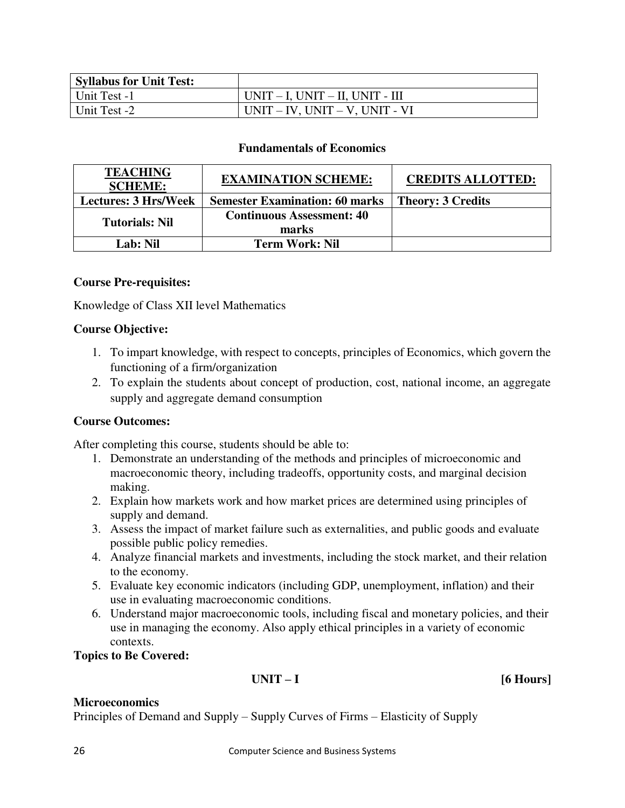| <b>Syllabus for Unit Test:</b> |                                         |
|--------------------------------|-----------------------------------------|
| Unit Test -1                   | $UNIT - I$ , $UNIT - II$ , $UNIT - III$ |
| Unit Test -2                   | $UNIT - IV$ , $UNIT - V$ , $UNIT - VI$  |

### **Fundamentals of Economics**

| <b>TEACHING</b><br><b>SCHEME:</b> | <b>EXAMINATION SCHEME:</b>                | <b>CREDITS ALLOTTED:</b> |
|-----------------------------------|-------------------------------------------|--------------------------|
| <b>Lectures: 3 Hrs/Week</b>       | <b>Semester Examination: 60 marks</b>     | <b>Theory: 3 Credits</b> |
| <b>Tutorials: Nil</b>             | <b>Continuous Assessment: 40</b><br>marks |                          |
| Lab: Nil                          | <b>Term Work: Nil</b>                     |                          |

### **Course Pre-requisites:**

Knowledge of Class XII level Mathematics

### **Course Objective:**

- 1. To impart knowledge, with respect to concepts, principles of Economics, which govern the functioning of a firm/organization
- 2. To explain the students about concept of production, cost, national income, an aggregate supply and aggregate demand consumption

### **Course Outcomes:**

After completing this course, students should be able to:

- 1. Demonstrate an understanding of the methods and principles of microeconomic and macroeconomic theory, including tradeoffs, opportunity costs, and marginal decision making.
- 2. Explain how markets work and how market prices are determined using principles of supply and demand.
- 3. Assess the impact of market failure such as externalities, and public goods and evaluate possible public policy remedies.
- 4. Analyze financial markets and investments, including the stock market, and their relation to the economy.
- 5. Evaluate key economic indicators (including GDP, unemployment, inflation) and their use in evaluating macroeconomic conditions.
- 6. Understand major macroeconomic tools, including fiscal and monetary policies, and their use in managing the economy. Also apply ethical principles in a variety of economic contexts.

**Topics to Be Covered:** 

**UNIT – I [6 Hours]** 

### **Microeconomics**

Principles of Demand and Supply – Supply Curves of Firms – Elasticity of Supply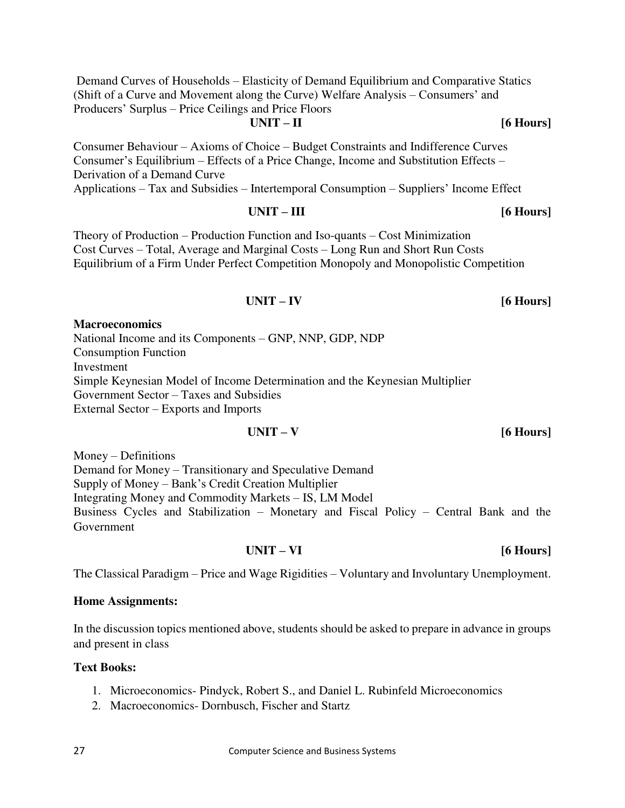Demand Curves of Households – Elasticity of Demand Equilibrium and Comparative Statics (Shift of a Curve and Movement along the Curve) Welfare Analysis – Consumers' and Producers' Surplus – Price Ceilings and Price Floors

### **UNIT – II [6 Hours]**

Consumer Behaviour – Axioms of Choice – Budget Constraints and Indifference Curves Consumer's Equilibrium – Effects of a Price Change, Income and Substitution Effects – Derivation of a Demand Curve

Applications – Tax and Subsidies – Intertemporal Consumption – Suppliers' Income Effect

Theory of Production – Production Function and Iso-quants – Cost Minimization Cost Curves – Total, Average and Marginal Costs – Long Run and Short Run Costs Equilibrium of a Firm Under Perfect Competition Monopoly and Monopolistic Competition

### **Macroeconomics**

National Income and its Components – GNP, NNP, GDP, NDP Consumption Function Investment Simple Keynesian Model of Income Determination and the Keynesian Multiplier Government Sector – Taxes and Subsidies External Sector – Exports and Imports

### **UNIT – V [6 Hours]**

**UNIT – III [6 Hours]** 

**UNIT – IV [6 Hours]** 

Money – Definitions Demand for Money – Transitionary and Speculative Demand Supply of Money – Bank's Credit Creation Multiplier Integrating Money and Commodity Markets – IS, LM Model Business Cycles and Stabilization – Monetary and Fiscal Policy – Central Bank and the Government

The Classical Paradigm – Price and Wage Rigidities – Voluntary and Involuntary Unemployment.

### **Home Assignments:**

In the discussion topics mentioned above, students should be asked to prepare in advance in groups and present in class

### **Text Books:**

- 1. Microeconomics- Pindyck, Robert S., and Daniel L. Rubinfeld Microeconomics
- 2. Macroeconomics- Dornbusch, Fischer and Startz

**UNIT – VI [6 Hours]**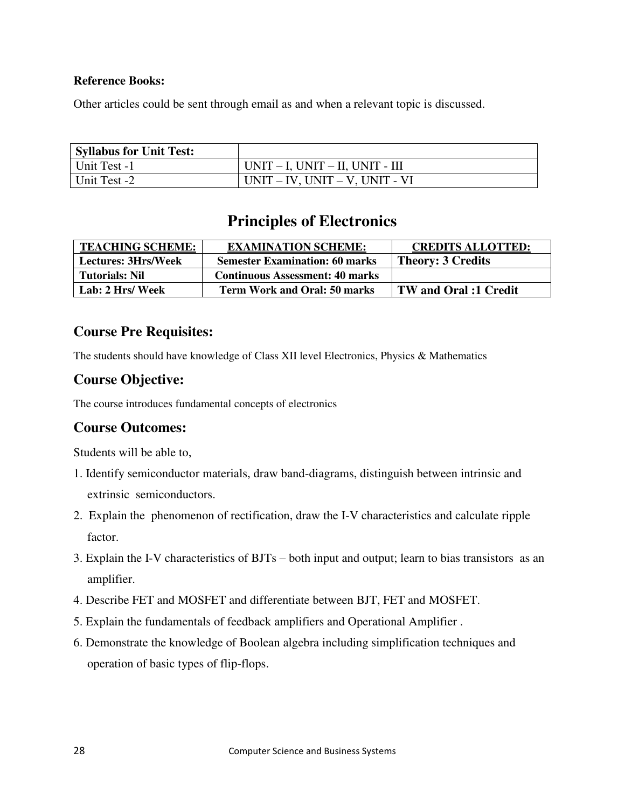### **Reference Books:**

Other articles could be sent through email as and when a relevant topic is discussed.

| <b>Syllabus for Unit Test:</b> |                                        |
|--------------------------------|----------------------------------------|
| Unit Test -1                   | UNIT – I, UNIT – II, UNIT - III        |
| Unit Test -2                   | $UNIT - IV$ , $UNIT - V$ , $UNIT - VI$ |

## **Principles of Electronics**

| <b>TEACHING SCHEME:</b>    | <b>EXAMINATION SCHEME:</b>             | <b>CREDITS ALLOTTED:</b>     |
|----------------------------|----------------------------------------|------------------------------|
| <b>Lectures: 3Hrs/Week</b> | <b>Semester Examination: 60 marks</b>  | <b>Theory: 3 Credits</b>     |
| <b>Tutorials: Nil</b>      | <b>Continuous Assessment: 40 marks</b> |                              |
| Lab: 2 Hrs/ Week           | <b>Term Work and Oral: 50 marks</b>    | <b>TW</b> and Oral :1 Credit |

### **Course Pre Requisites:**

The students should have knowledge of Class XII level Electronics, Physics & Mathematics

### **Course Objective:**

The course introduces fundamental concepts of electronics

### **Course Outcomes:**

Students will be able to,

- 1. Identify semiconductor materials, draw band-diagrams, distinguish between intrinsic and extrinsic semiconductors.
- 2. Explain the phenomenon of rectification, draw the I-V characteristics and calculate ripple factor.
- 3. Explain the I-V characteristics of BJTs both input and output; learn to bias transistors as an amplifier.
- 4. Describe FET and MOSFET and differentiate between BJT, FET and MOSFET.
- 5. Explain the fundamentals of feedback amplifiers and Operational Amplifier .
- 6. Demonstrate the knowledge of Boolean algebra including simplification techniques and operation of basic types of flip-flops.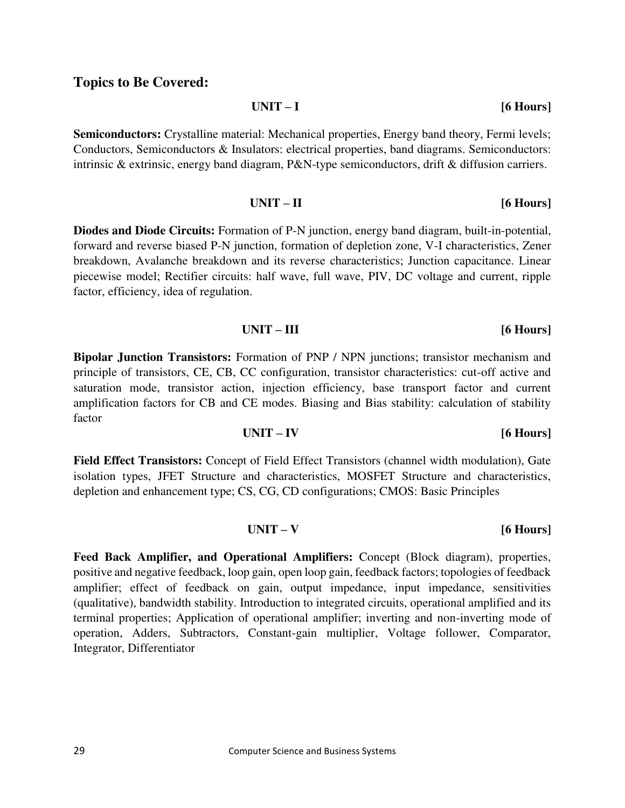### **Topics to Be Covered:**

Integrator, Differentiator

**Semiconductors:** Crystalline material: Mechanical properties, Energy band theory, Fermi levels; Conductors, Semiconductors & Insulators: electrical properties, band diagrams. Semiconductors:

**Diodes and Diode Circuits:** Formation of P-N junction, energy band diagram, built-in-potential, forward and reverse biased P-N junction, formation of depletion zone, V-I characteristics, Zener breakdown, Avalanche breakdown and its reverse characteristics; Junction capacitance. Linear piecewise model; Rectifier circuits: half wave, full wave, PIV, DC voltage and current, ripple factor, efficiency, idea of regulation.

**Bipolar Junction Transistors:** Formation of PNP / NPN junctions; transistor mechanism and principle of transistors, CE, CB, CC configuration, transistor characteristics: cut-off active and saturation mode, transistor action, injection efficiency, base transport factor and current amplification factors for CB and CE modes. Biasing and Bias stability: calculation of stability factor

**Field Effect Transistors:** Concept of Field Effect Transistors (channel width modulation), Gate isolation types, JFET Structure and characteristics, MOSFET Structure and characteristics, depletion and enhancement type; CS, CG, CD configurations; CMOS: Basic Principles

**Feed Back Amplifier, and Operational Amplifiers:** Concept (Block diagram), properties, positive and negative feedback, loop gain, open loop gain, feedback factors; topologies of feedback amplifier; effect of feedback on gain, output impedance, input impedance, sensitivities (qualitative), bandwidth stability. Introduction to integrated circuits, operational amplified and its terminal properties; Application of operational amplifier; inverting and non-inverting mode of operation, Adders, Subtractors, Constant-gain multiplier, Voltage follower, Comparator,

**UNIT – III [6 Hours]** 

intrinsic & extrinsic, energy band diagram, P&N-type semiconductors, drift & diffusion carriers.

**UNIT – I [6 Hours]** 

**UNIT – II [6 Hours]** 

**UNIT – V [6 Hours]** 

## **UNIT – IV [6 Hours]**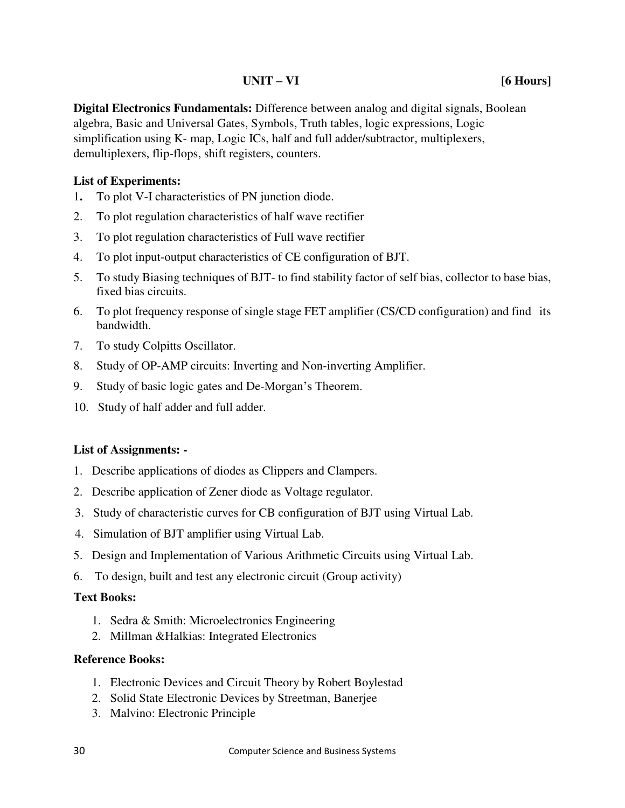### **UNIT – VI [6 Hours]**

**Digital Electronics Fundamentals:** Difference between analog and digital signals, Boolean algebra, Basic and Universal Gates, Symbols, Truth tables, logic expressions, Logic simplification using K- map, Logic ICs, half and full adder/subtractor, multiplexers, demultiplexers, flip-flops, shift registers, counters.

### **List of Experiments:**

- 1**.** To plot V-I characteristics of PN junction diode.
- 2. To plot regulation characteristics of half wave rectifier
- 3. To plot regulation characteristics of Full wave rectifier
- 4. To plot input-output characteristics of CE configuration of BJT.
- 5. To study Biasing techniques of BJT- to find stability factor of self bias, collector to base bias, fixed bias circuits.
- 6. To plot frequency response of single stage FET amplifier (CS/CD configuration) and find its bandwidth.
- 7. To study Colpitts Oscillator.
- 8. Study of OP-AMP circuits: Inverting and Non-inverting Amplifier.
- 9. Study of basic logic gates and De-Morgan's Theorem.
- 10. Study of half adder and full adder.

### **List of Assignments: -**

- 1. Describe applications of diodes as Clippers and Clampers.
- 2. Describe application of Zener diode as Voltage regulator.
- 3. Study of characteristic curves for CB configuration of BJT using Virtual Lab.
- 4. Simulation of BJT amplifier using Virtual Lab.
- 5. [Design and Implementation of Various Arithmetic Circuits](http://he-coep.vlabs.ac.in/Experiment1/Theory.html?domain=ElectronicsandCommunications&lab=Hybrid%20Electronics%20Lab) using Virtual Lab.
- 6. To design, built and test any electronic circuit (Group activity)

### **Text Books:**

- 1. Sedra & Smith: Microelectronics Engineering
- 2. Millman &Halkias: Integrated Electronics

- 1. Electronic Devices and Circuit Theory by Robert Boylestad
- 2. Solid State Electronic Devices by Streetman, Banerjee
- 3. Malvino: Electronic Principle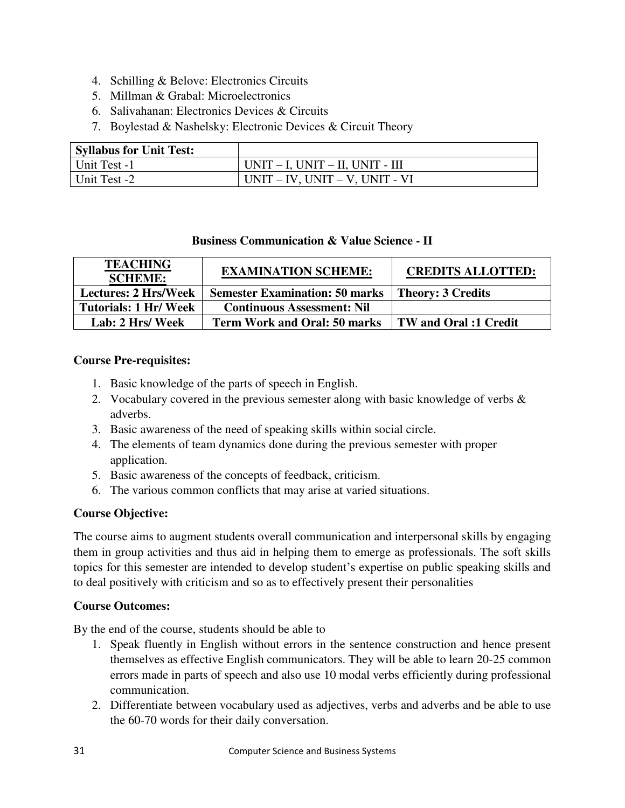- 4. Schilling & Belove: Electronics Circuits
- 5. Millman & Grabal: Microelectronics
- 6. Salivahanan: Electronics Devices & Circuits
- 7. Boylestad & Nashelsky: Electronic Devices & Circuit Theory

| <b>Syllabus for Unit Test:</b> |                                         |
|--------------------------------|-----------------------------------------|
| Unit Test -1                   | $UNIT - I$ , $UNIT - II$ , $UNIT - III$ |
| Unit Test -2                   | $UNIT - IV$ , $UNIT - V$ , $UNIT - VI$  |

### **Business Communication & Value Science - II**

| <b>TEACHING</b><br><b>SCHEME:</b> | <b>EXAMINATION SCHEME:</b>            | <b>CREDITS ALLOTTED:</b>     |
|-----------------------------------|---------------------------------------|------------------------------|
| <b>Lectures: 2 Hrs/Week</b>       | <b>Semester Examination: 50 marks</b> | <b>Theory: 3 Credits</b>     |
| <b>Tutorials: 1 Hr/ Week</b>      | <b>Continuous Assessment: Nil</b>     |                              |
| Lab: 2 Hrs/ Week                  | <b>Term Work and Oral: 50 marks</b>   | <b>TW</b> and Oral :1 Credit |

### **Course Pre-requisites:**

- 1. Basic knowledge of the parts of speech in English.
- 2. Vocabulary covered in the previous semester along with basic knowledge of verbs  $\&$ adverbs.
- 3. Basic awareness of the need of speaking skills within social circle.
- 4. The elements of team dynamics done during the previous semester with proper application.
- 5. Basic awareness of the concepts of feedback, criticism.
- 6. The various common conflicts that may arise at varied situations.

### **Course Objective:**

The course aims to augment students overall communication and interpersonal skills by engaging them in group activities and thus aid in helping them to emerge as professionals. The soft skills topics for this semester are intended to develop student's expertise on public speaking skills and to deal positively with criticism and so as to effectively present their personalities

### **Course Outcomes:**

By the end of the course, students should be able to

- 1. Speak fluently in English without errors in the sentence construction and hence present themselves as effective English communicators. They will be able to learn 20-25 common errors made in parts of speech and also use 10 modal verbs efficiently during professional communication.
- 2. Differentiate between vocabulary used as adjectives, verbs and adverbs and be able to use the 60-70 words for their daily conversation.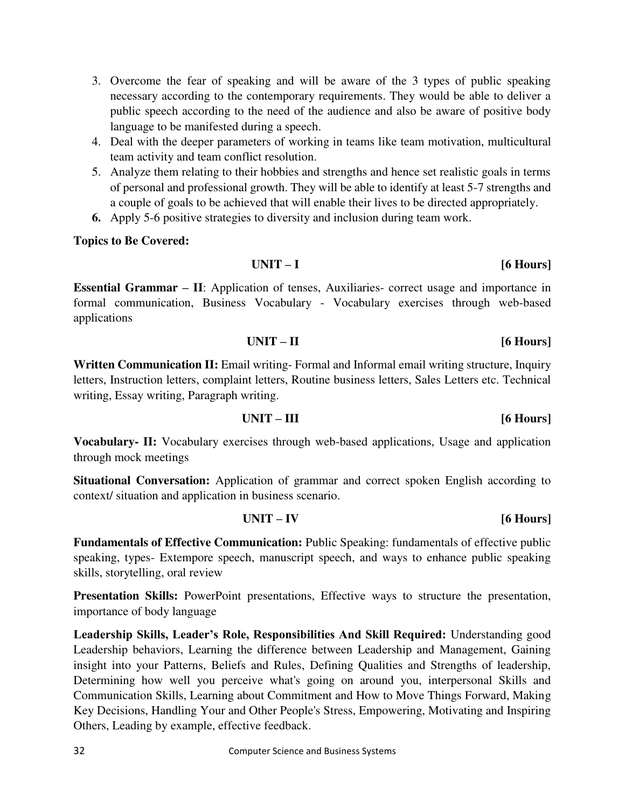- 3. Overcome the fear of speaking and will be aware of the 3 types of public speaking necessary according to the contemporary requirements. They would be able to deliver a public speech according to the need of the audience and also be aware of positive body language to be manifested during a speech.
- 4. Deal with the deeper parameters of working in teams like team motivation, multicultural team activity and team conflict resolution.
- 5. Analyze them relating to their hobbies and strengths and hence set realistic goals in terms of personal and professional growth. They will be able to identify at least 5-7 strengths and a couple of goals to be achieved that will enable their lives to be directed appropriately.
- **6.** Apply 5-6 positive strategies to diversity and inclusion during team work.

### **Topics to Be Covered:**

**Essential Grammar – II**: Application of tenses, Auxiliaries- correct usage and importance in formal communication, Business Vocabulary - Vocabulary exercises through web-based applications

### **UNIT – II [6 Hours]**

Written Communication II: Email writing- Formal and Informal email writing structure, Inquiry letters, Instruction letters, complaint letters, Routine business letters, Sales Letters etc. Technical writing, Essay writing, Paragraph writing.

**UNIT – III [6 Hours]** 

**Vocabulary- II:** Vocabulary exercises through web-based applications, Usage and application through mock meetings

**Situational Conversation:** Application of grammar and correct spoken English according to context/ situation and application in business scenario.

### **UNIT – IV [6 Hours]**

**Fundamentals of Effective Communication:** Public Speaking: fundamentals of effective public speaking, types- Extempore speech, manuscript speech, and ways to enhance public speaking skills, storytelling, oral review

**Presentation Skills:** PowerPoint presentations, Effective ways to structure the presentation, importance of body language

**Leadership Skills, Leader's Role, Responsibilities And Skill Required:** Understanding good Leadership behaviors, Learning the difference between Leadership and Management, Gaining insight into your Patterns, Beliefs and Rules, Defining Qualities and Strengths of leadership, Determining how well you perceive what's going on around you, interpersonal Skills and Communication Skills, Learning about Commitment and How to Move Things Forward, Making Key Decisions, Handling Your and Other People's Stress, Empowering, Motivating and Inspiring Others, Leading by example, effective feedback.

**UNIT – I [6 Hours]**